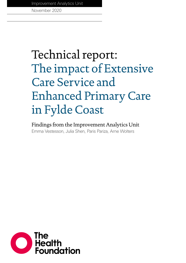Improvement Analytics Unit

November 2020

# Technical report: The impact of Extensive Care Service and Enhanced Primary Care in Fylde Coast

Findings from the Improvement Analytics Unit Emma Vestesson, Julia Shen, Paris Pariza, Arne Wolters

**O** The<br>Foundation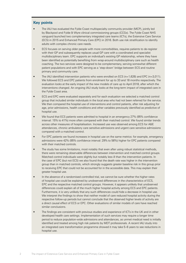# **Key points**

- The IAU has evaluated the Fylde Coast multispecialty community provider (MCP), jointly led by Blackpool and Fylde & Wyre clinical commissioning groups (CCGs). The Fylde Coast NHS vanguard launched two complementary integrated care teams (ICTs), the Extensive Care Service (ECS) in 2015 and Enhanced Primary Care (EPC) in 2016. Both use risk stratification to identify adults with complex chronic care needs.
- ECS focuses on serving older people with more comorbidities, requires patients to de-register with their GP and subsequently replaces usual GP care with a coordinated and specialist multidisciplinary team. EPC supports an individual's existing GP relationship, where they have been identified as potentially benefiting from wrap-around multidisciplinary care such as health coaching. The two services were designed to be complementary, serving somewhat different patient populations and with EPC serving as a 'step-down' bridge between ECS and routine primary and community care.
- The IAU identified intervention patients who were enrolled on ECS (n=1,626) and EPC (n=3,011). We followed ECS and EPC patients from enrolment for up to 33 and 18 months respectively. The evaluation looks at the early impact of the new models of care up to April 2018, after which the interventions changed. An ongoing IAU study looks at the long-term impact of integrated care in the Fylde Coast area.
- ECS and EPC were evaluated separately and for each evaluation we selected a matched control group that included similar individuals in the local area who had not been referred for the service. We then compared the hospital use of interventions and control patients, after risk adjusting for age, prior admissions, health conditions and other variables previously identified as predictive of hospital use.
- We found that ECS patients were admitted to hospital in an emergency 27% (95% confidence interval: 15% to 41%) more often compared with their matched control. We found similar trends across other measures of hospitalisation. Increased use was observed among ECS for A&E attendances, chronic ambulatory care sensitive admissions and urgent care sensitive admissions compared with a matched control.
- For EPC patients we found increases in hospital use on the same metrics: for example, emergency admissions were 42% (95% confidence interval: 29% to 56%) higher for EPC patients compared with their matched controls.
- The study has some limitations, most notably that even after using robust statistical methods, there were remaining observable differences between intervention and matched control groups. Matched control individuals were slightly but notably less ill than the intervention patients. In the case of EPC (but not ECS) we also found that the death rate was higher in the intervention group than in matched controls, which strongly suggests greater baseline risk in this group prior to receiving EPC that could not be accounted for in the accessible data. This may explain their greater hospital use.
- In the absence of a randomised controlled trial, we cannot be sure whether the higher rates of hospital use could be explained by unobserved differences in the characteristics of ECS, EPC and the respective matched control groups. However, it appears unlikely that unobserved differences could explain all of the much higher hospital activity among ECS and EPC patients. Furthermore, it is very unlikely that any such differences could hide a decrease in hospital use. We interpret the findings to show that neither model of care reduced hospital activity during the respective follow-up periods but cannot conclude that the observed higher levels of activity are a direct causal effect of ECS or EPC. Other evaluations of similar models of care have reached similar conclusions.
- The findings are consistent with previous studies and experience of ICTs in the UK and in other developed health care settings. Implementation of such services may require a longer time period to reduce population-wide admissions and attendances, as unmet medical need is initially identified and treated among high risk patients by MDT professionals. A recent IAU study into an integrated care transformation programme showed it may take 5–6 years to see reductions in hospital use.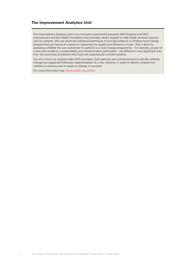### **The Improvement Analytics Unit**

The Improvement Analytics Unit is an innovative partnership between NHS England and NHS Improvement and the Health Foundation that provides robust analysis to help health services improve care for patients. We use advanced statistical techniques to provide evidence of whether local change programmes are having an impact on improving the quality and efficiency of care. This is done by assessing whether the care outcomes for patients in a local change programme – for example, as part of a new care model or a sustainability and transformation partnership – are different in any significant way from the outcomes of patients who have not experienced a similar initiative.

Our aim is that our analysis helps NHS providers, their partners and commissioners to identify whether change has happened following implementation of a new initiative, in order to identify whether the initiative is working well or needs to change to succeed.

For more information see: [www.health.org.uk/IAU](http://www.health.org.uk/IAU)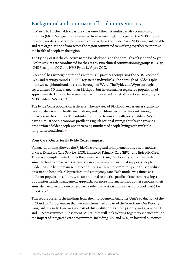# Background and summary of local interventions

In March 2015, the Fylde Coast area was one of the first multispecialty community provider (MCP) 'vanguard' sites selected from across England as part of the NHS England new care models programme. Known collectively as the Fylde Coast NHS vanguard, health and care organisations from across the region committed to working together to improve the health of people in the region.

The Fylde Coast is the collective name for Blackpool and the boroughs of Fylde and Wyre. Health services are coordinated for the area by two clinical commissioning groups (CCGs): NHS Blackpool CCG and NHS Fylde & Wyre CCG.

Blackpool has six neighbourhoods with 21 GP practices comprising the NHS Blackpool CCG and serving around 172,000 registered individuals. The borough of Fylde is split into two neighbourhoods, as is the borough of Wyre. The Fylde and Wyre boroughs cover an area 10 times larger than Blackpool but have a smaller registered population of approximately 155,000 between them, who are served by 19 GP practices belonging to NHS Fylde & Wyre CCG.

The Fylde Coast population is diverse. The city area of Blackpool experiences significant levels of deprivation, health inequalities, and low life expectancy that rank among the worst in the country. The suburban and rural towns and villages of Fylde & Wyre have a similar socio-economic profile to English national averages but have a growing proportion of older people and increasing numbers of people living with multiple  $long-term conditions.<sup>1,2</sup>$  $long-term conditions.<sup>1,2</sup>$  $long-term conditions.<sup>1,2</sup>$  $long-term conditions.<sup>1,2</sup>$  $long-term conditions.<sup>1,2</sup>$ 

# **Your Care, Our Priority Fylde Coast vanguard**

Vanguard funding allowed the Fylde Coast vanguard to implement three new models of care: Extensive Care Service (ECS), Enhanced Primary Care (EPC), and Episodic Care. These were implemented under the banner Your Care, Our Priority, and collectively aimed to build a proactive, systematic care-planning approach that supports people in Fylde Coast to better manage their conditions within the community and thus to reduce pressure on hospitals, GP practices, and emergency care. Each model was aimed at a different population cohort, with care tailored to the risk profile of each cohort using a population health management approach. For more information about these models, their aims, deliverables and outcomes, please refer to the statistical analysis protocol (SAP) for this study.<sup>[3](#page-46-2)</sup>

This report presents the findings from the Improvement Analytics Unit's evaluation of the ECS and EPC programmes that were implemented as part of the Your Care, Our Priority vanguard. Episodic Care was not part of this evaluation, as more priority was given to EPC and ECS programmes. Subsequent IAU studies will look to bring together evidence around the impact of integrated care programmes, including EPC and ECS, on hospital outcomes.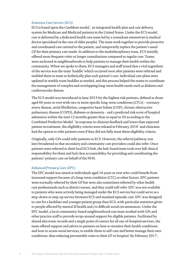#### *Extensive Care Service (ECS)*

ECS is based upon the CareMore model, $4$  an integrated health plan and care delivery system for Medicare and Medicaid patients in the United States. Under the ECS model, care is delivered by a dedicated health care team led by a consultant extensivist (a medical doctor specialised in the care of older people). The team work together to provide proactive and coordinated care centred to the patient, and temporarily replace the patient's usual GP for their primary care needs. In addition to the multidisciplinary team, ECS initially offered more frequent visits or longer consultations compared to regular care. Teams were anchored in neighbourhoods to help patients to manage their health within the community. When we spoke to them, ECS managers and staff noted that a vital ingredient of the service was the team 'huddle' which occurred soon after patients were referred and enabled them to meet to holistically plan each patient's care. Individual care plans were updated in weekly team huddles as needed, and this process helped the teams to coordinate the management of complex and overlapping long-term health needs such as diabetes and cardiovascular disease.

The ECS model was introduced in June 2015 for the highest risk patients, defined as those aged 60 years or over with two or more specific long-term conditions (LTCs) – coronary artery disease, atrial fibrillation, congestive heart failure (CHF), chronic obstructive pulmonary disease (COPD), diabetes or dementia – and a predicted risk score of hospital admission within the next 12 months greater than or equal to 20 according to the Combined Predictive Model.<sup>[5](#page-46-4)</sup> In response to clinician feedback and lower than expected patient recruitment, the eligibility criteria were relaxed in February 201[6](#page-46-5) $^6$  and clinicians had the option to refer patients even if they did not fully meet these eligibility criteria.

Originally, only GPs could refer patients to ECS. However, the referral pathway was later broadened so that secondary and community care providers could also refer. Once patients were referred to their local ECS hub, the hub-based team took over full clinical responsibility for them and had clear accountability for providing and coordinating the patients' primary care on behalf of the NHS.

#### *Enhanced Primary Care (EPC)*

5

The EPC model was aimed at individuals aged 16 years or over who could benefit from increased support because of a long-term condition (LTC) or other factors. EPC patients were normally referred by their GP but were also sometimes referred by other health care professionals such as district nurses, and they could self-refer. EPC was not available to patients who were actively being managed under the ECS service but could serve as a step-down or step-up service between ECS and standard episodic care. EPC was designed to care for a healthier and younger patient group than ECS, with particular attention given to people affected by mental ill health and/or difficult social circumstances. Under the EPC model, a local community-based neighbourhood care team worked with GPs and other practice staff to provide wrap-around support for eligible patients. Facilitated by shared electronic records and a single point of contact for all out-of-hospital services, the team offered support and advice to patients on how to monitor their health conditions and how to access social services, to enable them to self-care and better manage their own conditions, thus reducing preventable visits to their GP or hospital. By February 2017,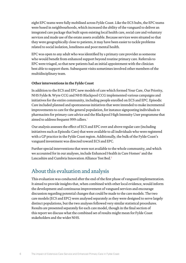eight EPC teams were fully mobilised across Fylde Coast. Like the ECS hubs, the EPC teams were based in neighbourhoods, which increased the ability of the vanguard to deliver an integrated care package that built upon existing local health care, social care and voluntary services and made use of the estate assets available. Because services were situated so that they were geographically close to patients, it may have been easier to tackle problems related to social isolation, loneliness and poor mental health.

EPC was open to any adult who was identified by a primary care provider as someone who would benefit from enhanced support beyond routine primary care. Referrals to EPC were triaged, so that new patients had an initial appointment with the clinician best able to support them. Subsequent visits sometimes involved other members of the multidisciplinary team.

# **Other interventions in the Fylde Coast**

In addition to the ECS and EPC new models of care which formed Your Care, Our Priority, NHS Fylde & Wyre CCG and NHS Blackpool CCG implemented various campaigns and initiatives for the entire community, including people enrolled on ECS and EPC. Episodic Care included planned and spontaneous initiatives that were intended to make incremental improvements to care for the general population, for instance signposting individuals to pharmacists for primary care advice and the Blackpool High Intensity User programme that aimed to address frequent 999 callers.<sup>[7](#page-46-6)</sup>

Our analysis assesses the effect of ECS and EPC over and above regular care (including initiatives such as Episodic Care) that were available to all individuals who were registered with a GP practice in the Fylde Coast region. Additionally, the bulk of the Fylde Coast's vanguard investment was directed toward ECS and EPC.

Further special interventions that were not available to the whole community, and which we accounted for in our analyses, include Enhanced Health in Care Homes<sup>[8](#page-46-7)</sup> and the Lancashire and Cumbria Innovation Alliance Test Bed.[9](#page-46-8)

# About this evaluation and analysis

This evaluation was conducted after the end of the first phase of vanguard implementation. It aimed to provide insights that, when combined with other local evidence, would inform the development and continuous improvement of vanguard services and encourage discussion regarding potential changes that could be made to the care models. The two care models (ECS and EPC) were analysed separately as they were designed to serve largely distinct populations, but the two analyses followed very similar statistical procedures. Results are presented separately for each care model, though in the final section of this report we discuss what the combined set of results might mean for Fylde Coast stakeholders and the wider NHS.

6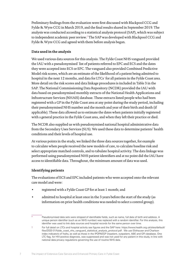Preliminary findings from the evaluation were first discussed with Blackpool CCG and Fylde & Wyre CCG in March 2019, and the final results shared in September 2019. The analysis was conducted according to a statistical analysis protocol (SAP), which was subject to independent academic peer review.<sup>[3](#page-46-2)</sup> The SAP was developed with Blackpool CCG and Fylde & Wyre CCG and agreed with them before analysis began.

# **Data used in the analysis**

We used various data sources for this analysis. The Fylde Coast NHS vanguard provided the IAU with a pseudonymised $^*$  list of patients referred to EPC and ECS and the dates they were accepted into ECS or EPC. The vanguard also provided Combined Predictive Model risk scores, which are an estimate of the likelihood of a patient being admitted to hospital in the next 12 months, and data for LTCs† for all patients in the Fylde Coast area. More detail on the risk scores and data linkage procedures is included in Table 3 in the SAP. The National Commissioning Data Repository (NCDR) provided the IAU with data based on pseudonymised monthly extracts of the National Health Applications and Infrastructure Services (NHAIS) database. These extracts listed people who had been registered with a GP in the Fylde Coast area at any point during the study period, including their pseudonymised NHS number and the month and year of their birth and death (if applicable). These data allowed us to estimate the dates when patients initially registered with a general practice in the Fylde Coast area, and when they left their practice or died.

The NCDR also supplied us with pseudonymised national hospital administrative data from the Secondary Uses Services (SUS). We used these data to determine patients' health conditions and their levels of hospital use.

At various points in the study, we linked the three data sources together, for example to calculate when people received the new models of care, to calculate baseline risk and select appropriate matched controls, and to tabulate hospital activity. The data linkage was performed using pseudonymised NHS patient identifiers and at no point did the IAU have access to identifiable data. Throughout, the minimum amount of data was used.

# **Identifying patients**

The evaluations of ECS and EPC included patients who were accepted onto the relevant care model and were:

- registered with a Fylde Coast GP for at least 1 month; and
- admitted to hospital at least once in the 3 years before the start of the study (as information on prior health conditions was needed to select a control group).

Pseudonymised data sets were stripped of identifiable fields, such as name, full date of birth and address. A unique person identifier (such as an NHS number) was replaced with a random identifier. For this analysis, this identifier was used to link data sources and hospital records for the same person over time.

<sup>†</sup> For full detail on LTCs and hospital activity see figures and the SAP here: [https://www.health.org.uk/sites/default/](https://www.health.org.uk/sites/default/files/2020) [files/2020](https://www.health.org.uk/sites/default/files/2020) 01/fylde\_coast\_nhs\_vanguard\_statistical\_analysis\_protocol.pdf . We use Elixhauser and Charlson index indicators of frailty, as well as those in the IPOPAEGP (inpatient, outpatient, A&E and GP) database. One LTC flag, for HIV-positive diagnosis, was suppressed and was not used for any patient in this study, in line with national data privacy regulations governing the use of routine NHS data.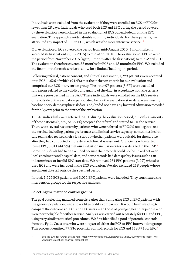Individuals were excluded from the evaluation if they were enrolled on ECS or EPC for fewer than 28 days. Individuals who used both ECS and EPC during the period covered by the evaluation were included in the evaluation of ECS but excluded from the EPC evaluation. This approach avoided double counting individuals. For these patients, we attributed any impact of EPC to ECS, which was the more intensive service.<sup>[10](#page-46-9)</sup>

Our evaluation of ECS covered the period from mid-August 2015 (1 month after it accepted its first patient in July 2015) to mid-April 2018. The evaluation of EPC covered the period from November 2016 (again, 1 month after the first patient) to mid-April 2018. The evaluation therefore covered 33 months for ECS and 18 months for EPC. We excluded the first month for each service to allow for a limited 'bedding-in' period.

Following referral, patient consent, and clinical assessment, 1,723 patients were accepted onto ECS, 1,626 of which (94.4%) met the inclusion criteria for our evaluation and comprised our ECS intervention group. The other 97 patients (5.6%) were excluded for reasons related to the validity and quality of the data, in accordance with the criteria that were pre-specified in the SAP.<sup>3</sup> These individuals were enrolled on the ECS service only outside of the evaluation period, died before the evaluation start date, were missing baseline socio-demographic risk data, and/or did not have any hospital admission recorded for the 3 years prior to the start of the evaluation.

18,548 individuals were referred to EPC during the evaluation period, but only a minority of these patients (6,759, or 36.4%) accepted the referral and started to use the service. There were several reasons why patients who were referred to EPC did not begin to use the service, including patient preferences and limited service capacity; sometimes health care teams also revised their views about whether patients were suitable for the service after they had conducted a more detailed clinical assessment. Of patients who started to use EPC, 3,011 (44.5%) met our evaluation inclusion criteria as detailed in the SAP.<sup>3</sup> Some individuals had to be excluded because their records could not be linked between local enrolment and hospital data, and some records had data quality issues such as an indeterminate or invalid EPC start date. We removed 261 EPC patients (3.9%) who also used ECS and were included in the ECS evaluation. We also excluded 218 people whose enrolment date fell outside the specified period.

In total, 1,626 ECS patients and 3,011 EPC patients were included. They constituted the intervention groups for the respective analyses.

# **Selecting the matched control groups**

The goal of selecting matched controls, rather than comparing ECS or EPC patients with the general population, is to allow a like-for-like comparison. It would be misleading to compare the outcomes of ECS and EPC users with those of younger, healthier people who were never eligible for either service. Analysis was carried out separately for ECS and EPC, using very similar statistical procedures. We first identified a pool of potential controls from the Fylde Coast area who were not part of either the ECS or EPC intervention groups. This process identified 77,536 potential control records for ECS and 113,771 for EPC.\*

8

See the SAP for further details here: https://www.health.org.uk/sites/default/files/2020-01/fylde\_coast\_nhs [vanguard\\_statistical\\_analysis\\_protocol.pdf](https://www.health.org.uk/sites/default/files/2020-01/fylde_coast_nhs_vanguard_statistical_analysis_protocol.pdf)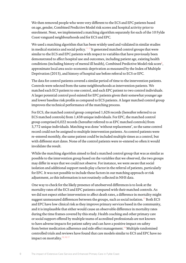We then removed people who were very different to the ECS and EPC patients based on age, gender, Combined Predictive Model risk scores and hospital activity prior to enrolment. Next, we implemented a matching algorithm separately for each of the 10 Fylde Coast vanguard neighbourhoods and for ECS and EPC.

We used a matching algorithm that has been widely used and validated in similar studies in medical statistics and social policy.<sup>[11](#page-46-10)[,12](#page-46-11)</sup> It generated matched control groups that were similar to the ECS and EPC patients with respect to variables that have previously been demonstrated to affect hospital use and outcomes, including patient age, existing health conditions (including history of mental ill health), Combined Predictive Model risk score<sup>[5](#page-46-4)</sup>, approximate local area socio-economic deprivation as measured by the Index of Multiple Deprivation (2015), and history of hospital use before referral to ECS or EPC.

The data for control patients covered a similar period of time to the intervention patients. Controls were selected from the same neighbourhoods as intervention patients. We matched each ECS patient to one control, and each EPC patient to two control individuals. A larger potential control pool existed for EPC patients given their somewhat younger age and lower baseline risk profile as compared to ECS patients. A larger matched control group improves the technical performance of the matching process.

For ECS, the matched control group comprised 1,626 records (hereafter referred to as ECS matched controls) from 1,438 unique individuals. For EPC, the matched control group comprised 6,022 records (hereafter referred to as EPC matched controls) from 3,772 unique individuals. Matching was done 'without replacement', so the same control record could not be assigned to multiple intervention patients. As control patients were re-entered monthly, the same patient could be included multiple times as a control, but with different start dates. None of the control patients were re-entered so often it would invalidate the result.

While the matching algorithm aimed to find a matched control group that was as similar as possible to the intervention group based on the variables that we observed, the two groups may differ in ways that we could not observe. For instance, we were aware that social isolation and additional support needs play a factor in the referral of patients, particularly for EPC. It was not possible to include these factors in our matching approach or risk adjustment, as this information is not routinely collected in NHS data.

One way to check for the likely presence of unobserved differences is to look at the mortality rates of the ECS and EPC patients compared with their matched controls. As we did not expect either intervention to affect death rates, a difference in mortality might suggest unmeasured differences between the groups, such as social isolation.<sup>[13](#page-46-12)</sup> Both ECS and EPC have low clinical risk as they improve primary services based in the community, and it is implausible that either would cause an observable difference in mortality rates during the time frames covered by this study. Health coaching and other primary care or social support offered by multiple teams of accredited professionals are not known to have adverse impacts for patient safety and can have a positive impact on safety from better medication adherence and side effect management.<sup>[14](#page-46-13)</sup> Multiple randomised controlled trials and reviews have found that care models similar to ECS and EPC have no impact on mortality.<sup>[15,](#page-46-14)[16,](#page-46-15)[17](#page-46-16)</sup>

9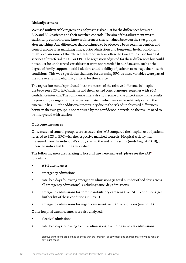# **Risk adjustment**

We used multivariable regression analysis to risk adjust for the differences between ECS and EPC patients and their matched controls. The aim of this adjustment was to statistically control for any known differences that remained between the two groups after matching. Any differences that continued to be observed between intervention and control groups after matching in age, prior admissions and long-term health conditions might explain some of the relative difference in how often the two groups used hospital services after referral to ECS or EPC. The regression adjusted for these differences but could not adjust for unobserved variables that were not recorded in our data sets, such as the degree of family support, social isolation, and the ability of patients to manage their health conditions. This was a particular challenge for assessing EPC, as these variables were part of the core referral and eligibility criteria for the service.

The regression models produced 'best estimates' of the relative difference in hospital use between ECS or EPC patients and the matched control groups, together with 95% confidence intervals. The confidence intervals show some of the uncertainty in the results by providing a range around the best estimate in which we can be relatively certain the true value lies. But the additional uncertainty due to the risk of unobserved differences between the two groups is not captured by the confidence intervals, so the results need to be interpreted with caution.

# **Outcome measures**

Once matched control groups were selected, the IAU compared the hospital use of patients referred to ECS or EPC with the respective matched controls. Hospital activity was measured from the individual's study start to the end of the study (mid-August 2018), or when the individual left the area or died.

The following measures relating to hospital use were analysed (please see the SAP[3](#page-46-2) for detail):

- A&E attendances
- emergency admissions
- total bed days following emergency admissions (ie total number of bed days across all emergency admissions), excluding same-day admissions
- emergency admissions for chronic ambulatory care sensitive (ACS) conditions (see further list of these conditions in Box 1)
- emergency admissions for urgent care sensitive (UCS) conditions (see Box 1).

Other hospital care measures were also analysed:

- elective\* admissions
- total bed days following elective admissions, excluding same-day admissions

Elective admissions are defined as those that are 'ordinary' or day cases and exclude maternity and regular day/night cases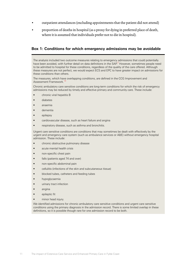- outpatient attendances (excluding appointments that the patient did not attend)
- proportion of deaths in hospital (as a proxy for dying in preferred place of death, where it is assumed that individuals prefer not to die in hospital).

# **Box 1: Conditions for which emergency admissions may be avoidable**

The analysis included two outcome measures relating to emergency admissions that could potentially have been avoided, with further detail on data definitions in the SAP.<sup>[3](#page-46-2)</sup> However, sometimes people need to be admitted to hospital for these conditions, regardless of the quality of the care offered. Although these measures are not perfect, we would expect ECS and EPC to have greater impact on admissions for these conditions than others.

The measures, which have overlapping conditions, are defined in the CCG Improvement and Assessment Framework.

Chronic ambulatory care sensitive conditions are long-term conditions for which the risk of emergency admissions may be reduced by timely and effective primary and community care. These include:

- chronic viral hepatitis B
- diabetes
- anaemia
- dementia
- epilepsy
- cardiovascular disease, such as heart failure and angina
- respiratory disease, such as asthma and bronchitis.

Urgent care sensitive conditions are conditions that may sometimes be dealt with effectively by the urgent and emergency care system (such as ambulance services or A&E) without emergency hospital admission. These include:

- chronic obstructive pulmonary disease
- acute mental health crisis
- non-specific chest pain
- falls (patients aged 74 and over)
- non-specific abdominal pain
- cellulitis (infections of the skin and subcutaneous tissue)
- blocked tubes, catheters and feeding tubes
- hypoglycaemia
- urinary tract infection
- angina
- epileptic fit
- minor head injury.

We identified admissions for chronic ambulatory care sensitive conditions and urgent care sensitive conditions using the primary diagnosis in the admission record. There is some limited overlap in these definitions, so it is possible though rare for one admission record to be both.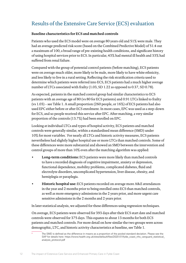# Results of the Extensive Care Service (ECS) evaluation

# **Baseline characteristics for ECS and matched controls**

Patients who used the ECS model were on average 80 years old and 51% were male. They had an average predicted risk score (based on the Combined Predictive Model) of 51.4 out a maximum of 100, a broad range of pre-existing health conditions, and significant history of using hospital services prior to ECS. In particular, 43% had mental ill health and 33% had suffered from renal failure.

Compared with the group of potential control patients (before matching), ECS patients were on average much older, more likely to be male, more likely to have white ethnicity, and less likely to live in a rural setting. Reflecting the risk stratification criteria used to determine which patients were referred into ECS, ECS patients had a much higher average number of LTCs associated with frailty (1.03, SD 1.22 as opposed to 0.37, SD 0.78).

As expected, patients in the matched control group had similar characteristics to ECS patients with an average age of 80 (vs 80 for ECS patients) and 0.91 LTCs linked to frailty (vs 1.03) – see Table 1. A small proportion (260 people, or 16%) of ECS patients had also used EPC either before or after ECS enrolment. In most cases, EPC was used as a step-down for ECS, and so people received this service after EPC. After matching, a very similar proportion of the controls (13.7%) had been enrolled on EPC.

Looking at individual LTCs and types of hospital activity, ECS patients and matched controls were generally similar, within a standardised mean difference (SMD) under 10% for most variables.\* For nearly all LTCs and historic activity measures, ECS patients nevertheless had slightly higher hospital use or more LTCs than matched controls. Some of these differences were more substantial and showed an SMD between the intervention and control groups of more than 10% even after the matching algorithm was applied:

- **Long-term conditions:** ECS patients were more likely than matched controls to have a recorded diagnosis of cognitive impairment, anxiety or depression, functional dependence, mobility problems, complicated diabetes, fluid and electrolyte disorders, uncomplicated hypertension, liver disease, obesity, and hemiplegia or paraplegia.
- **Historic hospital use:** ECS patients recorded on average more A&E attendances in the year and 2 months prior to being enrolled onto ECS than matched controls, as well as more emergency admissions in the 2 years prior, and more urgent care sensitive admissions in the 2 months and 2 years prior.

In later statistical analysis, we adjusted for these differences using regression techniques.

On average, ECS patients were observed for 393 days after their ECS start date and matched controls were observed for 375 days. This equates to about 13 months for both ECS patients and matched controls. For more detail on how similar the two groups were across demographic, LTC, and historic activity characteristics at baseline, see Table 1.

The SMD is defined as the difference in means as a proportion of the pooled standard deviation. Please see the SAP for details here: [https://www.health.org.uk/sites/default/files/2020-01/fylde\\_coast\\_nhs\\_vanguard\\_statistical\\_](https://www.health.org.uk/sites/default/files/2020-01/fylde_coast_nhs_vanguard_statistical_analysis_protocol.pdf) [analysis\\_protocol.pdf](https://www.health.org.uk/sites/default/files/2020-01/fylde_coast_nhs_vanguard_statistical_analysis_protocol.pdf)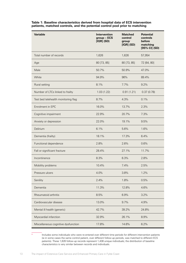| <b>Variable</b>                     | <b>Intervention</b><br>group - ECS<br>$[IQR]$ (SD) | <b>Matched</b><br>control<br>group <sup>*</sup><br>$[IQR]$ (SD) | <b>Potential</b><br>controls<br>before<br>matching<br>[95% CI] (SD) |
|-------------------------------------|----------------------------------------------------|-----------------------------------------------------------------|---------------------------------------------------------------------|
| Total number of records             | 1,626                                              | 1,626                                                           | 57,954                                                              |
| Age                                 | 80 [73, 85]                                        | 80 [73, 85]                                                     | 72 [64, 80]                                                         |
| Male                                | 50.7%                                              | 50.9%                                                           | 47.0%                                                               |
| White                               | 94.9%                                              | 96%                                                             | 89.4%                                                               |
| Rural setting                       | 8.1%                                               | 7.7%                                                            | 9.2%                                                                |
| Number of LTCs linked to frailty    | 1.03(1.22)                                         | 0.91(1.21)                                                      | 0.37(0.78)                                                          |
| Test bed telehealth monitoring flag | 8.7%                                               | 4.3%                                                            | 0.1%                                                                |
| Enrolment in EPC                    | 16.0%                                              | 13.7%                                                           | 2.3%                                                                |
| Cognitive impairment                | 22.9%                                              | 20.7%                                                           | 7.3%                                                                |
| Anxiety or depression               | 22.0%                                              | 19.1%                                                           | 9.5%                                                                |
| Delirium                            | 6.1%                                               | 5.6%                                                            | 1.6%                                                                |
| Dementia (frailty)                  | 18.1%                                              | 17.3%                                                           | 6.4%                                                                |
| Functional dependence               | 2.8%                                               | 2.6%                                                            | 0.6%                                                                |
| Fall or significant fracture        | 28.4%                                              | 27.1%                                                           | 11.7%                                                               |
| Incontinence                        | 8.3%                                               | 6.3%                                                            | 2.8%                                                                |
| Mobility problems                   | 10.4%                                              | 7.4%                                                            | 2.5%                                                                |
| Pressure ulcers                     | 4.0%                                               | 3.8%                                                            | 1.2%                                                                |
| Senility                            | 2.4%                                               | 1.8%                                                            | 0.5%                                                                |
| Dementia                            | 11.3%                                              | 12.8%                                                           | 4.6%                                                                |
| Rheumatoid arthritis                | 8.5%                                               | 6.9%                                                            | 3.2%                                                                |
| Cardiovascular disease              | 13.0%                                              | 9.7%                                                            | 4.9%                                                                |
| Mental ill health (generic)         | 42.7%                                              | 39.2%                                                           | 24.8%                                                               |
| Myocardial infarction               | 32.9%                                              | 26.1%                                                           | 8.9%                                                                |
| Miscellaneous cognitive dysfunction | 17.8%                                              | 14.6%                                                           | 6.2%                                                                |

**Table 1: Baseline characteristics derived from hospital data of ECS intervention patients, matched controls, and the potential control pool prior to matching**

Includes some individuals who were re-entered over different time periods for different intervention patients (ie in some cases the same control patient, over different follow-up periods, was matched to different ECS patients). These 1,626 follow-up records represent 1,438 unique individuals; the distribution of baseline characteristics is very similar between records and individuals.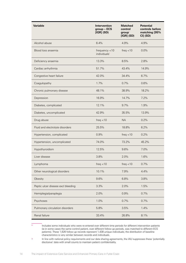| <b>Variable</b>                    | Intervention<br>group - ECS<br>$[IQR]$ (SD)  | <b>Matched</b><br>control<br>group <sup>*</sup><br>$[IQR]$ (SD) | <b>Potential</b><br>controls before<br>matching [95%<br>CI] (SD) |
|------------------------------------|----------------------------------------------|-----------------------------------------------------------------|------------------------------------------------------------------|
| Alcohol abuse                      | 6.4%                                         | 4.9%                                                            | 4.9%                                                             |
| Blood loss anaemia                 | frequency $<$ 10<br>individuals <sup>t</sup> | freq $<$ 10                                                     | 0.0%                                                             |
| Deficiency anaemia                 | 13.3%                                        | 8.5%                                                            | 2.8%                                                             |
| Cardiac arrhythmia                 | 51.7%                                        | 43.4%                                                           | 14.9%                                                            |
| Congestive heart failure           | 42.0%                                        | 34.4%                                                           | 6.7%                                                             |
| Coagulopathy                       | 1.7%                                         | 0.7%                                                            | 0.6%                                                             |
| Chronic pulmonary disease          | 48.1%                                        | 38.9%                                                           | 18.2%                                                            |
| Depression                         | 16.9%                                        | 14.7%                                                           | 7.2%                                                             |
| Diabetes, complicated              | 12.1%                                        | 9.7%                                                            | 1.9%                                                             |
| Diabetes, uncomplicated            | 42.9%                                        | 35.5%                                                           | 13.9%                                                            |
| Drug abuse                         | freq $<$ 10                                  | <b>NA</b>                                                       | 0.2%                                                             |
| Fluid and electrolyte disorders    | 25.5%                                        | 18.8%                                                           | 6.2%                                                             |
| Hypertension, complicated          | 0.9%                                         | freq $<$ 10                                                     | 0.2%                                                             |
| Hypertension, uncomplicated        | 74.0%                                        | 73.2%                                                           | 45.2%                                                            |
| Hypothyroidism                     | 12.5%                                        | 9.6%                                                            | 7.0%                                                             |
| Liver disease                      | 3.8%                                         | 2.0%                                                            | 1.6%                                                             |
| Lymphoma                           | freq $<$ 10                                  | freq $<$ 10                                                     | 0.7%                                                             |
| Other neurological disorders       | 10.1%                                        | 7.9%                                                            | 4.4%                                                             |
| Obesity                            | 9.6%                                         | 6.8%                                                            | 3.8%                                                             |
| Peptic ulcer disease excl bleeding | 3.3%                                         | 2.0%                                                            | 1.5%                                                             |
| Hemiplegia/paraplegia              | 2.0%                                         | 0.9%                                                            | 0.7%                                                             |
| Psychoses                          | 1.0%                                         | 0.7%                                                            | 0.7%                                                             |
| Pulmonary circulation disorders    | 5.8%                                         | 3.5%                                                            | 1.4%                                                             |
| Renal failure                      | 33.4%                                        | 26.8%                                                           | 8.1%                                                             |

Includes some individuals who were re-entered over different time periods for different intervention patients (ie in some cases the same control patient, over different follow-up periods, was matched to different ECS patients). These 1,626 follow-up records represent 1,438 unique individuals; the distribution of baseline characteristics is very similar between records and individuals.

† In line with national policy requirements and our data sharing agreements, the IAU suppresses these 'potentially disclosive' data with small counts to maintain patient confidentiality.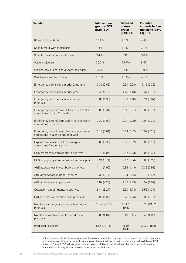| Variable                                                                            | Intervention<br>group - ECS<br>$[IQR]$ (SD) | <b>Matched</b><br>control<br>group <sup>*</sup><br>$[IQR]$ (SD) | <b>Potential</b><br>controls before<br>matching [95%<br>CI] (SD) |
|-------------------------------------------------------------------------------------|---------------------------------------------|-----------------------------------------------------------------|------------------------------------------------------------------|
| Rheumatoid arthritis                                                                | 10.8%                                       | 8.1%                                                            | 4.4%                                                             |
| Solid tumour with metastasis                                                        | 1.5%                                        | 1.1%                                                            | 2.1%                                                             |
| Solid tumour without metastasis                                                     | 9.4%                                        | 6.8%                                                            | 9.0%                                                             |
| Valvular disease                                                                    | 35.3%                                       | 29.7%                                                           | 8.4%                                                             |
| Weight loss (Elixhauser, 3 years look-back)                                         | 4.9%                                        | 3.4%                                                            | 1.9%                                                             |
| Peripheral vascular disease                                                         | 16.3%                                       | 11.4%                                                           | 4.1%                                                             |
| Emergency admissions in prior 2 months                                              | 0.31(0.62)                                  | 0.30(0.58)                                                      | 0.15(0.39)                                                       |
| Emergency admissions in prior year                                                  | 1.45(1.78)                                  | 1.26(1.43)                                                      | 0.37(0.78)                                                       |
| Emergency admissions in year before<br>prior year                                   | 0.88(1.36)                                  | 0.69(1.18)                                                      | 0.21(0.67)                                                       |
| Emergency chronic ambulatory care sensitive<br>admissions in prior 2 months         | 0.08(0.34)                                  | 0.08(0.31)                                                      | 0.02(0.13)                                                       |
| Emergency chronic ambulatory care sensitive<br>admissions in prior year             | 0.37(1.00)                                  | 0.31(0.79)                                                      | 0.04(0.24)                                                       |
| Emergency chronic ambulatory care sensitive<br>admissions in year before prior year | 0.18(0.61)                                  | 0.14(0.47)                                                      | 0.02(0.20)                                                       |
| Urgent care sensitive (UCS) emergency<br>admissions 2 months prior                  | 0.09(0.36)                                  | 0.08(0.32)                                                      | 0.03(0.16)                                                       |
| UCS emergency admissions in prior year                                              | 0.42(1.06)                                  | 0.32(0.83)                                                      | 0.07(0.34)                                                       |
| UCS emergency admissions before prior year                                          | 0.24(0.71)                                  | 0.17(0.54)                                                      | 0.05(0.29)                                                       |
| A&E attendances in year before prior year                                           | 1.14(1.96)                                  | 0.88(1.48)                                                      | 0.32(0.93)                                                       |
| A&E attendances in prior 2 months                                                   | 0.39(0.74)                                  | 0.34(0.65)                                                      | 0.19(0.45)                                                       |
| A&E attendances in prior year                                                       | 1.82(2.29)                                  | 1.52(1.79)                                                      | 0.52(1.07)                                                       |
| Outpatient appointments in prior year                                               | 6.44(6.27)                                  | 5.30(4.74)                                                      | 3.56(4.37)                                                       |
| Ordinary elective admissions in prior year                                          | 0.92(1.86)                                  | 0.76(1.24)                                                      | 0.83(2.18)                                                       |
| Number of emergency hospital bed days in<br>prior year                              | 13.49 (21.89)                               | 11.17<br>(19.37)                                                | 3.26 (13.52)                                                     |
| Number of elective hospital bed days in<br>prior year                               | 0.86(4.61)                                  | 0.49(3.41)                                                      | 0.49(4.02)                                                       |
| Predicted risk score                                                                | 51.40 (21.62)                               | 48.60<br>(19.46)                                                | 24.20 (15.68)                                                    |

\* Includes some individuals who were re-entered over different time periods for different intervention patients (ie in some cases the same control patient, over different follow-up periods, was matched to different ECS patients). These 1,626 follow-up records represent 1,438 unique individuals; the distribution of baseline characteristics is very similar between records and individuals.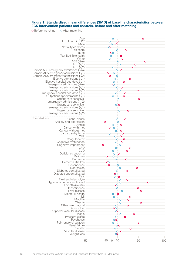#### **Figure 1: Standardised mean differences (SMD) of baseline characteristics between ECS intervention patients and controls, before and after matching**

**O** Before matching **O** After matching

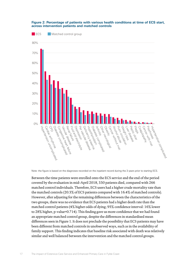

#### **Figure 2: Percentage of patients with various health conditions at time of ECS start, across intervention patients and matched controls**

Note: the figure is based on the diagnoses recorded on the inpatient record during the 3 years prior to starting ECS.

Between the time patients were enrolled onto the ECS service and the end of the period covered by the evaluation in mid-April 2018, 330 patients died, compared with 266 matched control individuals. Therefore, ECS users had a higher crude mortality rate than the matched controls (20.3% of ECS patients compared with 16.4% of matched controls). However, after adjusting for the remaining differences between the characteristics of the two groups, there was no evidence that ECS patients had a higher death rate than the matched control patients (4% higher odds of dying; 95% confidence interval: 16% lower to 28% higher, p-value=0.714). This finding gave us more confidence that we had found an appropriate matched control group, despite the differences in standardised mean differences seen in Figure 1. It does not preclude the possibility that ECS patients may have been different from matched controls in unobserved ways, such as in the availability of family support. This finding indicates that baseline risk associated with death was relatively similar and well balanced between the intervention and the matched control groups.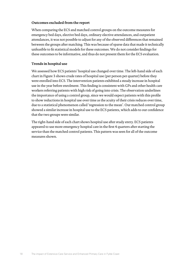# **Outcomes excluded from the report**

When comparing the ECS and matched control groups on the outcome measures for emergency bed days, elective bed days, ordinary elective attendances, and outpatient attendances, it was not possible to adjust for any of the observed differences that remained between the groups after matching. This was because of sparse data that made it technically unfeasible to fit statistical models for these outcomes. We do not consider findings for these outcomes to be informative, and thus do not present them for the ECS evaluation.

# **Trends in hospital use**

We assessed how ECS patients' hospital use changed over time. The left-hand side of each chart in Figure 3 shows crude rates of hospital use (per person per quarter) before they were enrolled into ECS. The intervention patients exhibited a steady increase in hospital use in the year before enrolment. This finding is consistent with GPs and other health care workers referring patients with high risk of going into crisis. The observation underlines the importance of using a control group, since we would expect patients with this profile to show reductions in hospital use over time as the acuity of their crisis reduces over time, due to a statistical phenomenon called 'regression to the mean'. Our matched control group showed a similar increase in hospital use to the ECS patients, which adds to our confidence that the two groups were similar.

The right-hand side of each chart shows hospital use after study entry. ECS patients appeared to use more emergency hospital care in the first 4 quarters after starting the service than the matched control patients. This pattern was seen for all of the outcome measures shown.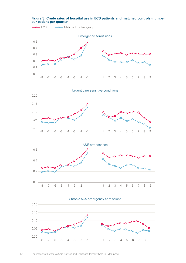

#### **Figure 3: Crude rates of hospital use in ECS patients and matched controls (number per patient per quarter)**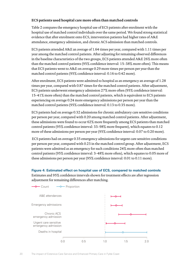# **ECS patients used hospital care more often than matched controls**

Table 2 compares the emergency hospital use of ECS patients after enrolment with the hospital use of matched control individuals over the same period. We found strong statistical evidence that after enrolment onto ECS, intervention patients had higher rates of A&E attendance, emergency admission, and chronic ACS admission than matched controls.

ECS patients attended A&E an average of 1.64 times per year, compared with 1.11 times per year among the matched control patients. After adjusting for remaining observed differences in the baseline characteristics of the two groups, ECS patients attended A&E 26% more often than the matched control patients (95% confidence interval: 15–38% more often). This means that ECS patients went to A&E on average 0.29 more times per person per year than the matched control patients (95% confidence interval: 0.16 to 0.42 more).

After enrolment, ECS patients were admitted to hospital as an emergency an average of 1.28 times per year, compared with 0.87 times for the matched control patients. After adjustment, ECS patients underwent emergency admission 27% more often (95% confidence interval: 15–41% more often) than the matched control patients, which is equivalent to ECS patients experiencing on average 0.24 more emergency admissions per person per year than the matched control patients (95% confidence interval: 0.13 to 0.35 more).

ECS patients had on average 0.32 admissions for chronic ambulatory care sensitive conditions per person per year, compared with 0.20 among matched control patients. After adjustment, these admissions were found to occur 62% more frequently among ECS patients than matched control patients (95% confidence interval: 33–98% more frequent), which equates to 0.12 more of these admissions per person per year (95% confidence interval: 0.07 to 0.20 more).

ECS patients had on average 0.35 emergency admissions for urgent care sensitive conditions per person per year, compared with 0.23 in the matched control group. After adjustment, ECS patients were admitted as an emergency for such conditions 24% more often than matched control patients (95% confidence interval: 3–48% more often), which equates to 0.05 more of these admissions per person per year (95% confidence interval: 0.01 to 0.11 more).

**Figure 4: Estimated effect on hospital use of ECS, compared to matched controls** Estimates and 95% confidence intervals shown for treatment effects are after regression adjustment for remaining differences after matching.

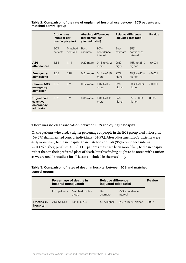|                                                           | <b>Crude rates</b><br>(number per<br>person per year) |                     | <b>Absolute differences</b><br>(per person per<br>year, adjusted) |                               | <b>Relative difference</b><br>(adjusted rate ratio) |                               | <b>P-value</b> |
|-----------------------------------------------------------|-------------------------------------------------------|---------------------|-------------------------------------------------------------------|-------------------------------|-----------------------------------------------------|-------------------------------|----------------|
|                                                           | <b>ECS</b><br>patients                                | Matched<br>controls | <b>Best</b><br>estimate                                           | 95%<br>confidence<br>interval | <b>Best</b><br>estimate                             | 95%<br>confidence<br>interval |                |
| <b>A&amp;E</b><br>attendances                             | 1.64                                                  | 1.11                | $0.29$ more                                                       | $0.16$ to $0.42$<br>more      | 26%<br>higher                                       | 15% to 38%<br>higher          | < 0.001        |
| <b>Emergency</b><br>admissions                            | 1.28                                                  | 0.87                | $0.24$ more                                                       | $0.13$ to $0.35$<br>more      | 27%<br>higher                                       | 15% to 41%<br>higher          | < 0.001        |
| <b>Chronic ACS</b><br>emergency<br>admission              | 0.32                                                  | 0.2                 | $0.12$ more                                                       | $0.07$ to 0.2<br>more         | 62%<br>higher                                       | 33% to 98%<br>higher          | < 0.001        |
| <b>Urgent care</b><br>sensitive<br>emergency<br>admission | 0.35                                                  | 0.23                | $0.05$ more                                                       | $0.01$ to $0.11$<br>more      | 24%<br>higher                                       | 3% to 48%<br>higher           | 0.022          |

**Table 2: Comparison of the rate of unplanned hospital use between ECS patients and matched control group**

### **There was no clear assocation between ECS and dying in hospital**

Of the patients who died, a higher percentage of people in the ECS group died in hospital (64.5%) than matched control individuals (54.9%). After adjustment, ECS patients were 43% more likely to die in hospital than matched controls (95% confidence interval: 2–100% higher; p-value: 0.037). ECS patients may have been more likely to die in hospital rather than in their preferred place of death, but this finding ought to be noted with caution as we are unable to adjust for all factors included in the matching.

| Table 3: Comparison of rates of death in hospital between ECS and matched |  |
|---------------------------------------------------------------------------|--|
| control groups                                                            |  |

|                       | Percentage of deaths in<br>hospital (unadjusted) |                          | <b>Relative difference</b><br>(adjusted odds ratio) | P-value                    |       |
|-----------------------|--------------------------------------------------|--------------------------|-----------------------------------------------------|----------------------------|-------|
|                       | <b>ECS</b> patients                              | Matched control<br>group | <b>Best</b><br>estimate                             | 95% confidence<br>interval |       |
| Deaths in<br>hospital | 213 (64.5%)                                      | 146 (54.9%)              | 43% higher                                          | 2% to 100% higher          | 0.037 |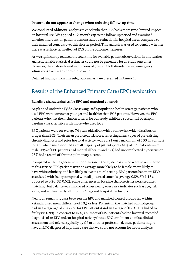# **Patterns do not appear to change when reducing follow-up time**

We conducted additional analysis to check whether ECS had a more time-limited impact on hospital use. We applied a 12-month cap to the follow-up period and examined whether intervention patients demonstrated a reduction in hospital use as compared to their matched controls over this shorter period. This analysis was used to identify whether there was a short-term effect of ECS on the outcome measures.

As we significantly reduced the total time for available patient observations in this further analysis, reliable statistical estimates could not be generated for all study outcomes. However, the analysis found indications of greater A&E attendance and emergency admissions even with shorter follow-up.

Detailed findings from this subgroup analysis are presented in Annex 1.

# Results of the Enhanced Primary Care (EPC) evaluation

### **Baseline characteristics for EPC and matched controls**

As planned under the Fylde Coast vanguard's population health strategy, patients who used EPC were somewhat younger and healthier than ECS patients. However, the EPC patients who met the inclusion criteria for our study exhibited substantial overlap in baseline characteristics with those who used ECS.

EPC patients were on average 76 years old, albeit with a somewhat wider distribution of ages than ECS. Their mean predicted risk score, reflecting many types of pre-existing chronic diagnosis and prior hospital activity, was 32.91 out a maximum of 100. In contrast to ECS where males formed a small majority of patients, only 41% of EPC patients were male. 43% of EPC patients had mental ill health and 52% had uncomplicated hypertension. 28% had a record of chronic pulmonary disease.

Compared with the general adult population in the Fylde Coast who were never referred to this service, EPC patients were on average more likely to be female, more likely to have white ethnicity, and less likely to live in a rural setting. EPC patients had more LTCs associated with frailty compared with all potential controls (average 0.89, SD 1.13 as opposed to 0.26, SD 0.62). Some differences in baseline characteristics persisted after matching, but balance was improved across nearly every risk indicator such as age, risk score, and within nearly all prior LTC flags and hospital use history.

Nearly all remaining gaps between the EPC and matched control groups fell within a standardised mean difference of 10% or less. Patients in the matched control group had an average age of 75 (vs 76 for EPC patients) and an average of 0.79 LTCs linked to frailty (vs 0.89). In contrast to ECS, a number of EPC patients had no hospital-recorded diagnosis of an LTC and/or hospital activity; but as EPC enrolment entails a clinical assessment and referral typically by GP or another professional, these patients might have an LTC diagnosed in primary care that we could not account for in our analysis.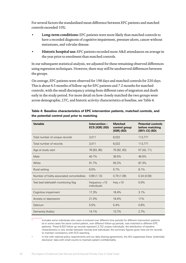For several factors the standardised mean difference between EPC patients and matched controls exceeded 10%:

- **Long-term conditions:** EPC patients were more likely than matched controls to have a recorded diagnosis of cognitive impairment, pressure ulcers, cancer without metastases, and valvular disease.
- **Historic hospital use:** EPC patients recorded more A&E attendances on average in the year prior to enrolment than matched controls.

In our subsequent statistical analysis, we adjusted for these remaining observed differences using regression techniques. However, there may still be unobserved differences between the groups.

On average, EPC patients were observed for 198 days and matched controls for 220 days. This is about 6.5 months of follow-up for EPC patients and 7.2 months for matched controls, with the small discrepancy arising from different rates of migration and death early in the study period. For more detail on how closely matched the two groups were across demographic, LTC, and historic activity characteristics at baseline, see Table 4.

| <b>Variable</b>                            | Intervention -<br>ECS [IQR] (SD)             | <b>Matched</b><br>control group <sup>*</sup><br>$[IQR]$ (SD) | <b>Potential controls</b><br>before matching<br>[95% CI] (SD) |
|--------------------------------------------|----------------------------------------------|--------------------------------------------------------------|---------------------------------------------------------------|
| Total number of unique records             | 3,011                                        | 6,022                                                        | 113,771                                                       |
| Total number of records                    | 3,011                                        | 6,022                                                        | 113,771                                                       |
| Age at study start                         | 76 [63, 85]                                  | 75 [62, 83]                                                  | 57 [42, 71]                                                   |
| Male                                       | 40.7%                                        | 39.5%                                                        | 46.5%                                                         |
| White                                      | 91.7%                                        | 93.2%                                                        | 87.3%                                                         |
| Rural setting                              | 6.5%                                         | 5.7%                                                         | 8.1%                                                          |
| Number of frailty-associated comorbidities | 0.89(1.13)                                   | 0.79(1.09)                                                   | 0.24(0.59)                                                    |
| Test bed telehealth monitoring flag        | frequency $<$ 10<br>individuals <sup>+</sup> | freq $<$ 10                                                  | 0.0%                                                          |
| Cognitive impairment                       | 17.3%                                        | 16.4%                                                        | 3.1%                                                          |
| Anxiety or depression                      | 21.0%                                        | 18.4%                                                        | 11%                                                           |
| Delirium                                   | 5.5%                                         | 5.4%                                                         | 0.6%                                                          |
| Dementia (frailty)                         | 14.1%                                        | 13.7%                                                        | 2.7%                                                          |

| Table 4: Baseline characteristics of EPC intervention patients, matched controls, and |
|---------------------------------------------------------------------------------------|
| the potential control pool prior to matching                                          |

Includes some individuals who were re-entered over different time periods for different intervention patients (ie in some cases the same control patient, over different follow-up periods, was matched to different EPC patients). These 6,022 follow-up records represent 3,722 unique individuals; the distribution of baseline characteristics is very similar between records and individuals; the summary figures given here are for records to maintain consistency with ECS reporting.

† In line with national policy requirements and our data sharing agreements, the IAU suppresses these 'potentially disclosive' data with small counts to maintain patient confidentiality.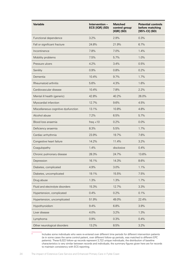| <b>Variable</b>                     | Intervention -<br>ECS [IQR] (SD) | <b>Matched</b><br>control group <sup>*</sup><br>$[IQR]$ (SD) | <b>Potential controls</b><br>before matching<br>[95% CI] (SD) |
|-------------------------------------|----------------------------------|--------------------------------------------------------------|---------------------------------------------------------------|
| Functional dependence               | 3.2%                             | 2.9%                                                         | 0.3%                                                          |
| Fall or significant fracture        | 24.8%                            | 21.9%                                                        | 6.7%                                                          |
| Incontinence                        | 7.8%                             | 7.0%                                                         | 1.4%                                                          |
| Mobility problems                   | 7.5%                             | 5.7%                                                         | 1.0%                                                          |
| Pressure ulcers                     | 4.2%                             | 3.4%                                                         | 0.5%                                                          |
| Senility                            | 0.9%                             | 0.8%                                                         | 0.2%                                                          |
| Dementia                            | 10.4%                            | 9.7%                                                         | 1.7%                                                          |
| Rheumatoid arthritis                | 5.6%                             | 4.3%                                                         | 1.6%                                                          |
| Cardiovascular disease              | 10.4%                            | 7.8%                                                         | 2.2%                                                          |
| Mental ill health (generic)         | 42.8%                            | 40.2%                                                        | 26.0%                                                         |
| Myocardial infarction               | 12.7%                            | 9.6%                                                         | 4.5%                                                          |
| Miscellaneous cognitive dysfunction | 13.1%                            | 10.8%                                                        | 4.8%                                                          |
| Alcohol abuse                       | 7.2%                             | 6.5%                                                         | 5.7%                                                          |
| Blood loss anaemia                  | freq $<$ 10                      | 0.2%                                                         | 0.0%                                                          |
| Deficiency anaemia                  | 8.3%                             | 5.5%                                                         | 1.7%                                                          |
| Cardiac arrhythmia                  | 23.9%                            | 19.7%                                                        | 7.6%                                                          |
| Congestive heart failure            | 14.2%                            | 11.4%                                                        | 3.2%                                                          |
| Coagulopathy                        | 1.4%                             | disclosive                                                   | 0.4%                                                          |
| Chronic pulmonary disease           | 28.3%                            | 24.7%                                                        | 13.6%                                                         |
| Depression                          | 16.1%                            | 14.3%                                                        | 8.6%                                                          |
| Diabetes, complicated               | 4.9%                             | 3.0%                                                         | 1.1%                                                          |
| Diabetes, uncomplicated             | 19.1%                            | 15.5%                                                        | 7.5%                                                          |
| Drug abuse                          | 1.3%                             | 1.3%                                                         | 1.7%                                                          |
| Fluid and electrolyte disorders     | 15.3%                            | 12.7%                                                        | 3.3%                                                          |
| Hypertension, complicated           | 0.4%                             | 0.2%                                                         | 0.1%                                                          |
| Hypertension, uncomplicated         | 51.9%                            | 49.0%                                                        | 22.4%                                                         |
| Hypothyroidism                      | 9.4%                             | 6.8%                                                         | 3.9%                                                          |
| Liver disease                       | 4.0%                             | 3.2%                                                         | 1.3%                                                          |
| Lymphoma                            | 0.9%                             | 0.3%                                                         | 0.4%                                                          |
| Other neurological disorders        | 13.2%                            | 8.5%                                                         | 3.2%                                                          |

\* Includes some individuals who were re-entered over different time periods for different intervention patients (ie in some cases the same control patient, over different follow-up periods, was matched to different EPC patients). These 6,022 follow-up records represent 3,722 unique individuals; the distribution of baseline characteristics is very similar between records and individuals; the summary figures given here are for records to maintain consistency with ECS reporting.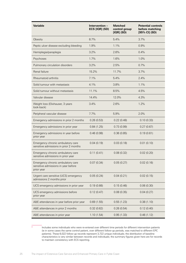| <b>Variable</b>                                                                        | Intervention -<br>ECS [IQR] (SD) | <b>Matched</b><br>control group*<br>$[IQR]$ (SD) | <b>Potential controls</b><br>before matching<br>[95% CI] (SD) |
|----------------------------------------------------------------------------------------|----------------------------------|--------------------------------------------------|---------------------------------------------------------------|
| Obesity                                                                                | 8.7%                             | 5.4%                                             | 3.7%                                                          |
| Peptic ulcer disease excluding bleeding                                                | 1.9%                             | 1.1%                                             | 0.9%                                                          |
| Hemiplegia/paraplegia                                                                  | 3.2%                             | 2.6%                                             | 0.4%                                                          |
| Psychoses                                                                              | 1.7%                             | 1.6%                                             | 1.0%                                                          |
| Pulmonary circulation disorders                                                        | 3.2%                             | 2.5%                                             | 0.7%                                                          |
| Renal failure                                                                          | 15.2%                            | 11.7%                                            | 3.7%                                                          |
| Rheumatoid arthritis                                                                   | 7.1%                             | 5.4%                                             | 2.4%                                                          |
| Solid tumour with metastasis                                                           | 4.1%                             | 3.8%                                             | 1.1%                                                          |
| Solid tumour without metastasis                                                        | 11.1%                            | 8.5%                                             | 4.5%                                                          |
| Valvular disease                                                                       | 14.4%                            | 12.0%                                            | 4.3%                                                          |
| Weight loss (Elixhauser, 3 years<br>look-back)                                         | 3.4%                             | 2.6%                                             | 1.2%                                                          |
| Peripheral vascular disease                                                            | 7.7%                             | 5.9%                                             | 2.0%                                                          |
| Emergency admissions in prior 2 months                                                 | 0.26(0.53)                       | 0.22(0.48)                                       | 0.10(0.33)                                                    |
| Emergency admissions in prior year                                                     | 0.84(1.25)                       | 0.73(0.99)                                       | 0.27(0.67)                                                    |
| Emergency admissions in year before<br>prior year                                      | 0.46(0.98)                       | 0.36(0.85)                                       | 0.19(0.61)                                                    |
| Emergency chronic ambulatory care<br>sensitive admissions in prior 2 months            | 0.04(0.19)                       | 0.03(0.18)                                       | 0.01(0.10)                                                    |
| Emergency chronic ambulatory care<br>sensitive admissions in prior year                | 0.11(0.41)                       | 0.08(0.32)                                       | 0.02(0.20)                                                    |
| Emergency chronic ambulatory care<br>sensitive admissions in year before<br>prior year | 0.07(0.34)                       | 0.05(0.27)                                       | 0.02(0.16)                                                    |
| Urgent care sensitive (UCS) emergency<br>admissions 2 months prior                     | 0.05(0.24)                       | 0.04(0.21)                                       | 0.02(0.15)                                                    |
| UCS emergency admissions in prior year                                                 | 0.19(0.66)                       | 0.15(0.46)                                       | 0.06(0.30)                                                    |
| UCS emergency admissions before<br>prior year                                          | 0.12(0.47)                       | 0.08(0.35)                                       | 0.04(0.27)                                                    |
| A&E attendances in year before prior year                                              | 0.69(1.55)                       | 0.55(1.23)                                       | 0.38(1.10)                                                    |
| A&E attendances in prior 2 months                                                      | 0.32(0.62)                       | 0.26(0.54)                                       | 0.12(0.40)                                                    |
| A&E attendances in prior year                                                          | 1.10(1.54)                       | 0.95(1.33)                                       | 0.46(1.12)                                                    |

-<br>Includes some individuals who were re-entered over different time periods for different intervention patients (ie in some cases the same control patient, over different follow-up periods, was matched to different EPC patients). These 6,022 follow-up records represent 3,722 unique individuals; the distribution of baseline characteristics is very similar between records and individuals; the summary figures given here are for records to maintain consistency with ECS reporting.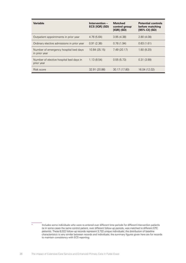| <b>Variable</b>                                        | Intervention -<br><b>ECS [IQR] (SD)</b> | <b>Matched</b><br>control group<br>$[IQR]$ (SD) | <b>Potential controls</b><br>before matching<br>$[95%$ CI] $(SD)$ |
|--------------------------------------------------------|-----------------------------------------|-------------------------------------------------|-------------------------------------------------------------------|
| Outpatient appointments in prior year                  | 4.76(5.64)                              | 3.95(4.38)                                      | 2.80(4.08)                                                        |
| Ordinary elective admissions in prior year             | 0.91(2.36)                              | 0.76(1.94)                                      | 0.63(1.61)                                                        |
| Number of emergency hospital bed days<br>in prior year | 10.84 (25.15)                           | 7.49 (20.17)                                    | 1.60(9.20)                                                        |
| Number of elective hospital bed days in<br>prior year  | 1.13(8.54)                              | 0.55(5.73)                                      | 0.31(3.99)                                                        |
| Risk score                                             | 32.91 (20.86)                           | 30.17 (17.80)                                   | 16.04 (12.02)                                                     |

Includes some individuals who were re-entered over different time periods for different intervention patients (ie in some cases the same control patient, over different follow-up periods, was matched to different EPC patients). These 6,022 follow-up records represent 3,722 unique individuals; the distribution of baseline characteristics is very similar between records and individuals; the summary figures given here are for records to maintain consistency with ECS reporting.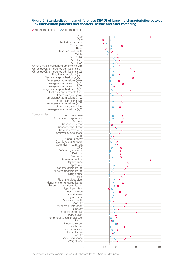#### **Figure 5: Standardised mean differences (SMD) of baseline characteristics between EPC intervention patients and controls, before and after matching**

**O** Before matching **O** After matching

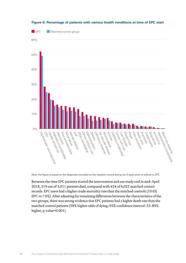

#### **Figure 6: Percentage of patients with various health conditions at time of EPC start**

Note: the figure is based on the diagnoses recorded on the inpatient record during the 3 years prior to referral to EPC.

Between the time EPC patients started the intervention and our study end in mid-April 2018, 319 out of 3,011 patients died, compared with 424 of 6,022 matched control records. EPC users had a higher crude mortality rate than the matched controls (10.6% EPC vs 7.0%). After adjusting for remaining differences between the characteristics of the two groups, there was strong evidence that EPC patients had a higher death rate than the matched control patients (58% higher odds of dying; 95% confidence interval: 33–89% higher, p-value<0.001).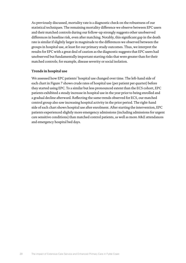As previously discussed, mortality rate is a diagnostic check on the robustness of our statistical techniques. The remaining mortality difference we observe between EPC users and their matched controls during our follow-up strongly suggests other unobserved differences in baseline risk, even after matching. Notably, this significant gap in the death rate is similar if slightly larger in magnitude to the differences we observed between the groups in hospital use, at least for our primary study outcomes. Thus, we interpret the results for EPC with a great deal of caution as the diagnostic suggests that EPC users had unobserved but fundamentally important starting risks that were greater than for their matched controls; for example, disease severity or social isolation.

### **Trends in hospital use**

We assessed how EPC patients' hospital use changed over time. The left-hand side of each chart in Figure 7 shows crude rates of hospital use (per patient per quarter) before they started using EPC. To a similar but less pronounced extent than the ECS cohort, EPC patients exhibited a steady increase in hospital use in the year prior to being enrolled and a gradual decline afterward. Reflecting the same trends observed for ECS, our matched control group also saw increasing hospital activity in the prior period. The right-hand side of each chart shows hospital use after enrolment. After starting the intervention, EPC patients experienced slightly more emergency admissions (including admissions for urgent care sensitive conditions) than matched control patients, as well as more A&E attendances and emergency hospital bed days.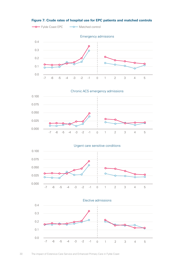

**Figure 7: Crude rates of hospital use for EPC patients and matched controls**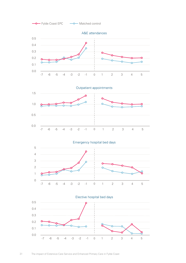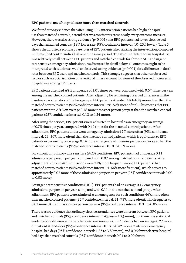# **EPC patients used hospital care more than matched controls**

We found strong evidence that after using EPC, intervention patients had higher hospital use than matched controls, a trend that was consistent across nearly every outcome measure. However, there was also strong evidence (p<0.001) that EPC patients had fewer elective bed days than matched controls (18% lower rate, 95% confidence interval: 10–25% lower). Table 5 shows the adjusted secondary care rates of EPC patients after starting the intervention, compared with matched control individuals over the same period. The absolute difference in hospital use was relatively small between EPC patients and matched controls for chronic ACS and urgent care sensitive emergency admissions. As discussed in detail below, all outcomes ought to be interpreted with caution as we also observed strong evidence (p<0.001) for a difference in death rates between EPC users and matched controls. This strongly suggests that other unobserved factors such as social isolation or severity of illness account for some of the observed increases in hospital use among EPC users.

EPC patients attended A&E an average of 1.01 times per year, compared with 0.67 times per year among the matched control patients. After adjusting for remaining observed differences in the baseline characteristics of the two groups, EPC patients attended A&E 40% more often than the matched control patients (95% confidence interval: 28–52% more often). This means that EPC patients went to A&E on average 0.18 more times per person per year than the matched control patients (95% confidence interval: 0.13 to 0.24 more).

After using the service, EPC patients were admitted to hospital as an emergency an average of 0.75 times per year, compared with 0.49 times for the matched control patients. After adjustment, EPC patients underwent emergency admission 42% more often (95% confidence interval: 29–56% more often) than the matched control patients, which is equivalent to EPC patients experiencing on average 0.14 more emergency admissions per person per year than the matched control patients (95% confidence interval: 0.10 to 0.19 more).

For chronic ambulatory care sensitive (ACS) conditions, EPC patients had on average 0.11 admissions per person per year, compared with 0.07 among matched control patients. After adjustment, chronic ACS admissions were 32% more frequent among EPC patients than matched control patients (95% confidence interval: 4–66% more frequent), which equates to approximately 0.02 more of these admissions per person per year (95% confidence interval: 0.00 to 0.03 more).

For urgent care sensitive conditions (UCS), EPC patients had on average 0.17 emergency admissions per person per year, compared with 0.11 in the matched control group. After adjustment, EPC patients were admitted as an emergency for such conditions 46% more often than matched control patients (95% confidence interval: 21–75% more often), which equates to 0.03 more UCS admissions per person per year (95% confidence interval: 0.01 to 0.05 more).

There was no evidence that ordinary elective attendances were different between EPC patients and matched controls (95% confidence interval: 14% less – 10% more), but there was statistical evidence for a difference in the other outcome measures. EPC patients had on average 0.27 more outpatient attendances (95% confidence interval: 0.13 to 0.42 more), 2.46 more emergency hospital bed days (95% confidence interval: 1.35 to 3.80 more), and 0.06 fewer elective hospital bed days than matched controls (95% confidence interval: 0.04 to 0.09 fewer).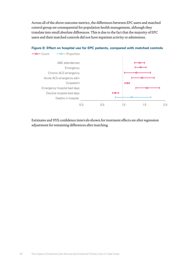Across all of the above outcome metrics, the differences between EPC users and matched control group are consequential for population health management, although they translate into small absolute differences. This is due to the fact that the majority of EPC users and their matched controls did not have inpatient activity or admissions.

#### **Figure 8: Effect on hospital use for EPC patients, compared with matched controls**



Estimates and 95% confidence intervals shown for treatment effects are after regression adjustment for remaining differences after matching.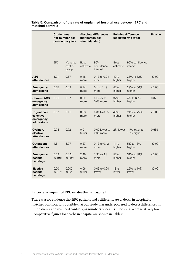|                                                            | <b>Crude rates</b> | (for number per<br>person per year) | (per person per<br>year, adjusted) | <b>Absolute differences</b>    | <b>Relative difference</b><br>(adjusted rate ratio) |                            | P-value |
|------------------------------------------------------------|--------------------|-------------------------------------|------------------------------------|--------------------------------|-----------------------------------------------------|----------------------------|---------|
|                                                            | EPC                | Matched                             | <b>Best</b>                        | 95%                            | <b>Best</b>                                         | 95% confidence             |         |
|                                                            |                    | control<br>group                    | estimate                           | confidence<br>interval         | estimate                                            | interval                   |         |
| <b>A&amp;E</b><br>attendances                              | 1.01               | 0.67                                | 0.18<br>more                       | $0.13$ to $0.24$<br>more       | 40%<br>higher                                       | 28% to 52%<br>higher       | < 0.001 |
| <b>Emergency</b><br>admissions                             | 0.75               | 0.49                                | 0.14<br>more                       | $0.1 \text{ to } 0.19$<br>more | 42%<br>higher                                       | 29% to 56%<br>higher       | < 0.001 |
| <b>Chronic ACS</b><br>emergency<br>admissions              | 0.11               | 0.07                                | 0.02<br>more                       | $0$ lower to<br>$0.03$ more    | 32%<br>higher                                       | 4% to 66%<br>higher        | 0.02    |
| <b>Urgent care</b><br>sensitive<br>emergency<br>admissions | 0.17               | 0.11                                | 0.03<br>more                       | $0.01$ to $0.05$<br>more       | 46%<br>higher                                       | 21% to 75%<br>higher       | < 0.001 |
| <b>Ordinary</b><br>elective<br>attendances                 | 0.74               | 0.72                                | 0.01<br>fewer                      | $0.07$ lower to<br>$0.05$ more | 2% lower                                            | 14% lower to<br>10% higher | 0.689   |
| <b>Outpatient</b><br>attendances                           | 4.6                | 3.77                                | 0.27<br>more                       | $0.13$ to $0.42$<br>more       | 11%<br>higher                                       | 5% to 16%<br>higher        | < 0.001 |
| <b>Emergency</b><br>hospital<br>bed days                   | 0.034<br>(0.101)   | 0.024<br>(0.095)                    | 2.46<br>more                       | 1.35 to 3.8<br>more            | 57%<br>higher                                       | 31% to 88%<br>higher       | < 0.001 |
| <b>Elective</b><br>hospital<br>bed days                    | 0.001<br>(0.015)   | 0.002<br>(0.02)                     | 0.06<br>fewer                      | $0.09$ to $0.04$<br>fewer      | 18%<br>lower                                        | 25% to 10%<br>lower        | < 0.001 |

#### **Table 5: Comparison of the rate of unplanned hospital use between EPC and matched controls**

# **Uncertain impact of EPC on deaths in hospital**

There was no evidence that EPC patients had a different rate of death in hospital to matched controls. It is possible that our study was underpowered to detect differences in EPC patients and matched controls, as numbers of deaths in hospital were relatively low. Comparative figures for deaths in hospital are shown in Table 6.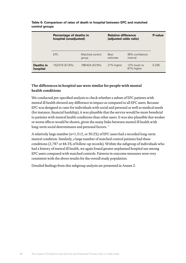|                       | Percentage of deaths in<br>hospital (unadjusted) |                          | <b>Relative difference</b><br>(adjusted odds ratio) | P-value                    |       |
|-----------------------|--------------------------------------------------|--------------------------|-----------------------------------------------------|----------------------------|-------|
|                       | EPC.                                             | Matched control<br>group | <b>Best</b><br>estimate                             | 95% confidence<br>interval |       |
| Deaths in<br>hospital | 152/319 (47.6%)                                  | 186/424 (43.9%)          | 21% higher                                          | 12% lower to<br>67% higher | 0.238 |

**Table 6: Comparison of rates of death in hospital between EPC and matched control groups**

# **The differences in hospital use were similar for people with mental health conditions**

We conducted pre-specified analysis to check whether a subset of EPC patients with mental ill health showed any difference in impact as compared to all EPC users. Because EPC was designed to cater for individuals with social and personal as well as medical needs (for instance, financial hardship), it was plausible that the service would be more beneficial to patients with mental health conditions than other users. It was also plausible that weaker or worse effects would be shown, given the many links between mental ill health with long-term social determinants and personal factors.<sup>[18](#page-46-17)</sup>

A relatively large number (n=1,512, or 50.2%) of EPC users had a recorded long-term mental condition. Similarly, a large number of matched control patients had these conditions (2,787 or 46.3% of follow-up records). Within the subgroup of individuals who had a history of mental ill health, we again found greater unplanned hospital use among EPC users compared with matched controls. Patterns in outcome measures were very consistent with the above results for the overall study population.

Detailed findings from this subgroup analysis are presented in Annex 2.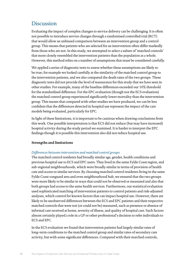# Discussion

Evaluating the impact of complex changes to service delivery can be challenging. It is often not possible to introduce service changes through a randomised controlled trial (RCT) that would allow an unbiased comparison between an intervention group and a control group. This means that patients who are selected for an intervention often differ markedly from those who are not. In this study, we attempted to select a subset of 'matched controls' that more closely resembled the intervention patients than the population as a whole. However, this method relies on a number of assumptions that must be considered carefully.

We applied a series of diagnostic tests to assess whether these assumptions are likely to be true; for example we looked carefully at the similarity of the matched control group to the intervention patients, and we also compared the death rates of the two groups. These diagnostic tests did not provide the level of reassurance for this study that we have seen in other studies. For example, many of the baseline differences exceeded our 10% threshold for the standardised difference. For the EPC evaluation (though not the ECS evaluation) the matched control group experienced significantly lower mortality than the intervention group. This means that compared with other studies we have produced, we can be less confident that the differences detected in hospital use represent the impact of the care models being evaluated, particularly for EPC.

In light of these limitations, it is important to be cautious when drawing conclusions from this work. One possible interpretation is that ECS did not reduce (but may have increased) hospital activity during the study period we examined. It is harder to interpret the EPC findings though it is possible this intervention also did not reduce hospital use.

### **Strengths and limitations**

# *Differences between intervention and matched control groups*

The matched control residents had broadly similar age, gender, health conditions and previous hospital use to ECS and EPC users. They lived in the same Fylde Coast region, and sub-regional neighbourhoods, which were broadly similar in terms of provision of health care and access to similar services. By choosing matched control residents living in the same Fylde Coast vanguard area and even neighbourhood hub, we ensured that the two groups were more likely to be similar in ways that could not be observed or measured and also that both groups had access to the same health services. Furthermore, our statistical evaluation used sophisticated matching of intervention patients to control patients and risk-adjusted analyses, which control for known factors that can impact hospital use. However, there are likely to be unobserved differences between the ECS and EPC patients and their respective matched controls that were not (or could not be) measured, such as presence or absence of informal care received at home, severity of illness, and quality of hospital care. Such factors almost certainly played a role in a GP or other professional's decision to refer individuals to ECS and EPC.

In the ECS evaluation we found that intervention patients had largely similar rates of long-term conditions to the matched control group and similar rates of secondary care activity, but with some significant differences. Compared with their matched controls,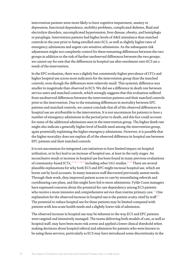intervention patients were more likely to have cognitive impairment, anxiety or depression, functional dependence, mobility problems, complicated diabetes, fluid and electrolyte disorders, uncomplicated hypertension, liver disease, obesity, and hemiplegia or paraplegia. Intervention patients had higher levels of A&E attendance than matched controls in the year prior to being enrolled onto ECS, as well as slightly higher rates of emergency admissions and urgent care sensitive admissions. As the subsequent risk adjustment might not completely control for these remaining differences between the two groups in addition to the risk of further unobserved differences between the two groups, we cannot say for sure that the differences in hospital use after enrolment onto ECS are a result of the intervention.

In the EPC evaluation, there was a slightly but consistently higher prevalence of LTCs and higher hospital use across most indicators for the intervention group than the matched controls, even though the differences were relatively small. This systemic difference was smaller in magnitude than observed in ECS. We did see a difference in death rate between service users and matched controls, which strongly suggests that this evaluation suffered from unobserved differences between the intervention patients and their matched controls prior to the intervention. Due to the remaining differences in mortality between EPC patients and matched controls, we cannot conclude that all of the observed differences in hospital use are attributable to the intervention. It is not uncommon for patients to have a number of emergency admissions in the period prior to death, and this fact could account for some of the additional admissions seen in the intervention group. The higher death rate might also indicate a generally higher level of health need among the intervention group, again potentially explaining the higher emergency admissions. However, it is possible that the higher mortality does not explain all of the observed difference in hospital use between EPC patients and their matched controls.

It is not uncommon for integrated care initiatives to have limited impact on hospital utilisation, or in fact lead to an increase of hospital use, at least in the early stages. An inconclusive result or increase in hospital use has been found in many previous evaluations of community-based ICTs,<sup>[15,](#page-46-14)[16](#page-46-15),[17,](#page-46-16)[19,](#page-46-18)[20](#page-46-19)</sup> including other IAU studies.<sup>[21](#page-46-20),[22](#page-47-0)</sup> There are several plausible explanations for why both ECS and EPC might increase hospital use, which are borne out by local accounts. In many instances staff discovered previously unmet needs. Through their work, they improved patient access to care by streamlining referrals and coordinating care plans, and this might have led to more admissions. Fylde Coast managers have expressed concerns about the potential for care dependency among ECS patients who receive a more intensive and comprehensive service than routine primary care.<sup>[10](#page-46-9)</sup> One explanation for the observed increase in hospital use is the patient acuity cited by staff.<sup>[10](#page-46-9)</sup> The potential to reduce hospital use for these patients may be limited compared with patients with less acute health needs and a slightly lower risk of admission.

The observed increase in hospital use may be inherent to the way ECS and EPC patients were targeted and intensively managed. The teams delivering both models of care, as well as hospital staff, may have been more risk averse and applied a lower clinical threshold when making decisions about hospital referral and admission for patients who were known to be using these services, particularly as ECS may have introduced some discontinuity in the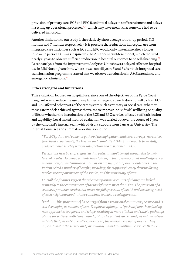provision of primary care. ECS and EPC faced initial delays in staff recruitment and delays in setting up operational processes,  $6,10$  $6,10$  which may have meant that some care had to be delivered in hospital.

Another limitation to our study is the relatively short average follow-up periods (13 months and 7 months respectively). It is possible that reductions in hospital use from integrated care initiatives such as ECS and EPC would only materialise after a longer follow-up period. ECS was inspired by the American CareMore model, which required nearly 8 years to observe sufficient reduction in hospital outcomes to be self-financing.<sup>[23](#page-47-1)</sup> Recent analysis from the Improvement Analytics Unit shows a delayed effect on hospital use in Mid Nottinghamshire, where it was not till years 5 and 6 after their integrated care transformation programme started that we observed a reduction in A&E attendance and emergency admissions.<sup>[24](#page-47-2)</sup>

# **Other strengths and limitations**

This evaluation focused on hospital use, since one of the objectives of the Fylde Coast vanguard was to reduce the use of unplanned emergency care. It does not tell us how ECS and EPC affected other parts of the care system such as primary or social care, whether these care models achieved against their aims to improve individuals' wellbeing or quality of life, or whether the introduction of the ECS and EPC services affected staff satisfaction and capability. Local mixed method evaluation was carried out over the course of 1 year by the vanguard's internal team with advisory support from Lancaster University. The internal formative and summative evaluation found:

*'[For ECS], data and evidence gathered through patient and carer surveys, narratives (the 'lived experience'), the Friends and Family Test (FFT) and reports from staff, evidence a high level of patient satisfaction and experience in ECS.*

*Perceptions held by staff suggested that patients didn't benefit enough due to their level of acuity. However, patients have told us, in their feedback, that small differences in how they feel and improved motivation are significant positive outcomes to them. Patients cited a number of benefits, including; the support given by their wellbeing worker, the responsiveness of the service, and the continuity of care.*

*Overall the findings suggest that the most positive accounts of change are linked primarily to the commitment of the workforce to meet the vision. The provision of a seamless, proactive service that meets the full spectrum of health and wellbeing needs of each neighbourhood… have combined to make a real difference…* 

*[For] EPC, [the programme] has emerged from a traditional community service and is still developing as a model of care. Despite its infancy, … [patients] have benefited by new approaches to referral and triage, resulting in more efficient and timely pathways of care for patients with fewer 'handoffs'… The patient survey and patient narratives indicate that patients' overall experiences of the service were very positive. They appear to value the service and particularly individuals within the service that were*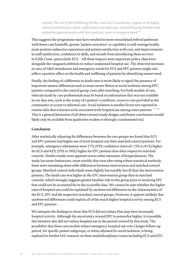*named. The role of the Wellbeing Worker and Care Coordinator appear to be highly valued and instances where staff acted as an advocate, around housing benefits and attending appointments with their patients, seem to be appreciated.'*[10](#page-46-9)

This suggests the programme may have resulted in more streamlined referral pathways with fewer care handoffs; greater 'patient activation' or capability to self-manage health; more positive subjective experience and patient satisfaction with care; and improvements in staff satisfaction, confidence in skills, and morale from introducing these services in Fylde Coast, particularly ECS.<sup>[10](#page-46-9)</sup> All these impacts were important policy objectives alongside the vanguard ambition to reduce unplanned hospital use. The observed increases in rates of A&E attendances and emergency needs for ECS and EPC patients might also reflect a positive effect on the health and wellbeing of patients by identifying unmet need.

Finally, the finding of a difference in death rates is more likely to signal the presence of important unseen differences such as more severe illness or social isolation among EPC patients compared to the control group, even after matching. For both models of care, referrals made by care professionals may be based on information that was not available in our data sets, such as the acuity of a patient's condition, access to care provided in the community or access to informal care. Social isolation is another factor not captured in routine data that is known to be associated with hospital use among some patients.<sup>[13](#page-46-12),[19](#page-46-18),[25](#page-47-3)</sup> This is a general limitation of all observational study designs and firmer conclusions would likely only be available from qualitative studies or through a randomised trial.

#### **Conclusion**

After statistically adjusting for differences between the two groups we found that ECS and EPC patients had higher use of most hospital care than matched control patients. For example, emergency admissions were 27% (95% confidence interval: 15% to 41%) higher for ECS and 42% (29% to 56%) higher for EPC patients than their respective matched controls. Similar trends were apparent across other measures of hospitalisation. The study has some limitations, most notably that even after using robust statistical methods, there were remaining observable differences between intervention and matched control groups. Matched control individuals were slightly but notably less ill than the intervention patients. The death rate was higher in the EPC intervention group than in matched controls, which strongly suggests greater baseline risk in this group prior to receiving EPC that could not be accounted for in the accessible data. We cannot be sure whether the higher rates of hospital use could be explained by unobserved differences in the characteristics of the ECS, EPC and the respective matched control groups. However, it appears unlikely that unobserved differences could explain all of the much higher hospital activity among ECS and EPC patients.

We interpret the findings to show that ECS did not reduce (but may have increased) hospital activity. Although the uncertainty around EPC is somewhat higher, it is possible this initiative also did not reduce hospital use in the period covered by this study. The possibility that these care models reduce emergency hospital use over a longer follow-up period, for specific patient subgroups, or when adjusted for social isolation, is being explored in further IAU research on three multidisciplinary teams including ECS and EPC.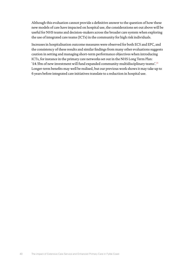Although this evaluation cannot provide a definitive answer to the question of how these new models of care have impacted on hospital use, the considerations set out above will be useful for NHS teams and decision-makers across the broader care system when exploring the use of integrated care teams (ICTs) in the community for high risk individuals.

Increases in hospitalisation outcome measures were observed for both ECS and EPC, and the consistency of these results and similar findings from many other evaluations suggests caution in setting and managing short-term performance objectives when introducing ICTs, for instance in the primary care networks set out in the NHS Long Term Plan: '£4.5bn of new investment will fund expanded community multidisciplinary teams'.[26](#page-47-4) Longer-term benefits may well be realised, but our previous work shows it may take up to 6 years before integrated care initiatives translate to a reduction in hospital use.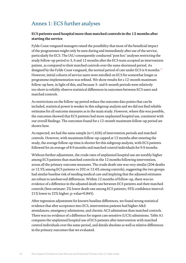# Annex 1: ECS further analyses

# **ECS patients used hospital more than matched controls in the 12 months after starting the service**

Fylde Coast vanguard managers raised the possibility that most of the beneficial impact of the programmes might only be seen during and immediately after use of the service, particularly for ECS. The IAU consequently conducted 'post hoc' analyses restricting the study follow-up period to 3, 6 and 12 months after the ECS team accepted an intervention patient, as compared to their matched controls over the same shortened period. As designed by the Fylde Coast vanguard, the normal period of care under ECS is 6 months.<sup>[15](#page-46-14)</sup> However, initial cohorts of service users were enrolled on ECS for somewhat longer as programme implementation was refined. We show results for a 12-month maximum follow-up here, in light of this, and because 3- and 6-month periods were relatively too short to reliably observe statistical differences in outcomes between ECS users and matched controls.

As restrictions on the follow-up period reduce the outcome data points that can be included, statistical power is weaker in this subgroup analysis and we did not find reliable estimates for all outcome measures as in the main study. However, where this was possible, the outcomes showed that ECS patients had more unplanned hospital use, consistent with our overall findings. The outcomes found for a 12-month maximum follow-up period are shown here.

As expected, we had the same sample (n=1,626) of intervention periods and matched controls. However, with maximum follow-up capped at 12 months after entering the study, the average follow-up time is shorter for this subgroup analysis, with ECS patients followed for an average of 8.9 months and matched control individuals for 9.9 months.

Without further adjustment, the crude rates of unplanned hospital use are notably higher among ECS patients than matched controls in the 12 months following intervention, across all the primary outcome measures. The crude death rate was very similar (204 deaths or 12.5% among ECS patients vs 202 or 12.4% among controls), suggesting the two groups had similar baseline risk of needing medical care and implying that the adjusted estimates are robust to unobserved differences. Within 12 months of follow-up, there was no evidence of a difference in the adjusted death rate between ECS patients and their matched controls (best estimate: 2% lower death rate among ECS patients; 95% confidence interval: 21% lower to 22% higher; p-value=0.845).

After regression adjustment for known baseline differences, we found strong statistical evidence that after acceptance into ECS, intervention patients had higher A&E attendances, emergency admissions, and chronic ACS admissions than matched controls. There was no evidence of a difference for urgent care sensitive (UCS) admissions. Table A1 compares the unplanned hospital use of ECS patients after intervention with matched control individuals over the same period, and details absolute as well as relative differences in the primary outcomes that we evaluated.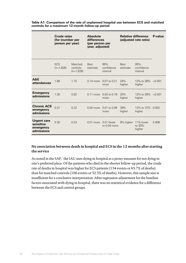|                                                            | <b>Crude rates</b><br>(for (number per<br>person per year) |                                    | <b>Absolute</b><br>differences<br>(per person per<br>year, adjusted) |                                | <b>Relative difference</b><br>(adjusted rate ratio) |                                  | P-value |
|------------------------------------------------------------|------------------------------------------------------------|------------------------------------|----------------------------------------------------------------------|--------------------------------|-----------------------------------------------------|----------------------------------|---------|
|                                                            | <b>ECS</b><br>$(n=1,626)$                                  | Matched<br>controls<br>$(n=1.626)$ | <b>Best</b><br>estimate                                              | 95%<br>confidence<br>interval  | <b>Best</b><br>estimate                             | 95%<br>confidence<br>interval    |         |
| $A$ &E<br>attendances                                      | 1.66                                                       | 1.15                               | $0.14$ more                                                          | $0.07$ to $0.21$<br>more       | 24%<br>higher                                       | 12% to 38% <0.001<br>higher      |         |
| <b>Emergency</b><br>admissions                             | 1.30                                                       | 0.92                               | $0.11$ more                                                          | $0.05$ to $0.18$<br>more       | 25%<br>higher                                       | 12\% to 39\% < $0.001$<br>higher |         |
| <b>Chronic ACS</b><br>emergency<br>admissions              | 0.31                                                       | 0.22                               | $0.04$ more                                                          | 0.01 to 0.08<br>more           | 39%<br>higher                                       | 12\% to 72\% 0.002<br>higher     |         |
| <b>Urgent care</b><br>sensitive<br>emergency<br>admissions | 0.35                                                       | 0.23                               | $0.01$ more                                                          | $0.01$ fewer<br>to $0.04$ more | 9% higher                                           | 11% lower<br>to 33%<br>higher    | 0.408   |

**Table A1: Comparison of the rate of unplanned hospital use between ECS and matched controls for a maximum 12-month follow-up period**

# **No association between death in hospital and ECS in the 12 months after starting the service**

As noted in the SAP,<sup>[3](#page-46-2)</sup> the IAU uses dying in hospital as a proxy measure for not dying in one's preferred place. Of the patients who died in the shorter follow-up period, the crude rate of deaths in hospital was higher for ECS patients (134 events or 65.7% of deaths) than for matched controls (106 events or 52.5% of deaths). However, this sample size is insufficient for a conclusive interpretation. After regression adjustment for the baseline factors associated with dying in hospital, there was no statistical evidence for a difference between the ECS and control groups.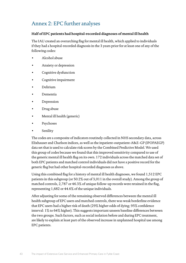# Annex 2: EPC further analyses

# **Half of EPC patients had hospital-recorded diagnoses of mental ill health**

The IAU created an overarching flag for mental ill health, which applied to individuals if they had a hospital-recorded diagnosis in the 3 years prior for at least one of any of the following codes:

- Alcohol abuse
- Anxiety or depression
- Cognitive dysfunction
- Cognitive impairment
- Delirium
- Dementia
- **Depression**
- Drug abuse
- Mental ill health (generic)
- **Psychoses**
- **Senility**

The codes are a composite of indicators routinely collected in NHS secondary data, across Elixhauser and Charlson indices, as well as the inpatient-outpatient-A&E-GP (IPOPAEGP) data set that is used to calculate risk scores by the Combined Predictive Model. We used this group of codes because we found that this improved sensitivity compared to use of the generic mental ill health flag on its own. 172 individuals across the matched data set of both EPC patients and matched control individuals did not have a positive record for the generic flag but had other hospital-recorded diagnoses as above.

Using this combined flag for a history of mental ill health diagnoses, we found 1,512 EPC patients in this subgroup (or 50.2% out of 3,011 in the overall study). Among the group of matched controls, 2,787 or 46.3% of unique follow-up records were retained in the flag, representing 1,682 or 44.6% of the unique individuals.

After adjusting for some of the remaining observed differences between the mental ill health subgroup of EPC users and matched controls, there was weak borderline evidence that EPC users had a higher risk of death (29% higher odds of dying; 95% confidence interval: 1% to 64% higher). This suggests important unseen baseline differences between the two groups. Such factors, such as social isolation before and during EPC treatment, are likely to explain at least part of the observed increase in unplanned hospital use among EPC patients.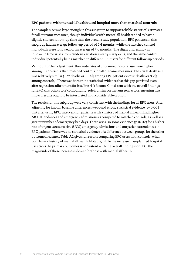# **EPC patients with mental ill health used hospital more than matched controls**

The sample size was large enough in this subgroup to support reliable statistical estimates for all outcome measures, though individuals with mental ill health tended to have a slightly shorter follow-up time than the overall study population. EPC patients in this subgroup had an average follow-up period of 6.4 months, while the matched control individuals were followed for an average of 7.0 months. The slight discrepancy in follow-up time arises from random variation in early study exits, and the same control individual potentially being matched to different EPC users for different follow-up periods.

Without further adjustment, the crude rates of unplanned hospital use were higher among EPC patients than matched controls for all outcome measures. The crude death rate was relatively similar (172 deaths or 11.4% among EPC patients vs 256 deaths or 9.2% among controls). There was borderline statistical evidence that this gap persisted even after regression adjustment for baseline risk factors. Consistent with the overall findings for EPC, this points to a 'confounding' role from important unseen factors, meaning that impact results ought to be interpreted with considerable caution.

The results for this subgroup were very consistent with the findings for all EPC users. After adjusting for known baseline differences, we found strong statistical evidence (p<0.001) that after using EPC, intervention patients with a history of mental ill health had higher A&E attendances and emergency admissions as compared to matched controls, as well as a greater number of emergency bed days. There was also some evidence (p<0.02) for a higher rate of urgent care sensitive (UCS) emergency admissions and outpatient attendances in EPC patients. There was no statistical evidence of a difference between groups for the other outcome measures. Table A2 gives full results comparing EPC users with controls, when both have a history of mental ill health. Notably, while the increase in unplanned hospital use across the primary outcomes is consistent with the overall findings for EPC, the magnitude of these increases is lower for those with mental ill health.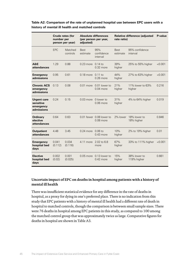|                                                            | number per       | <b>Crude rates (for</b><br>person per year) | adjusted)               | <b>Absolute differences</b><br>(per person per year, | <b>Relative difference (adjusted</b><br>rate ratio) |                             | P-value |
|------------------------------------------------------------|------------------|---------------------------------------------|-------------------------|------------------------------------------------------|-----------------------------------------------------|-----------------------------|---------|
|                                                            | <b>EPC</b>       | Matched<br>controls                         | <b>Best</b><br>estimate | 95%<br>confidence<br>interval                        | <b>Best</b><br>estimate                             | 95% confidence<br>interval  |         |
| <b>A&amp;E</b><br>attendances                              | 1.29             | 0.88                                        | $0.23$ more             | $0.14 \text{ to}$<br>$0.32$ more                     | 39%<br>higher                                       | 25% to 55% higher           | < 0.001 |
| <b>Emergency</b><br>admissions                             | 0.95             | 0.61                                        | $0.18$ more             | $0.11$ to<br>$0.26$ more                             | 44%<br>higher                                       | 27% to 63% higher           | < 0.001 |
| <b>Chronic ACS</b><br>emergency<br>admissions              | 0.13             | 0.08                                        | $0.01$ more             | $0.01$ lower to<br>$0.04$ more                       | 21%<br>higher                                       | 11% lower to 63%<br>higher  | 0.216   |
| <b>Urgent care</b><br>sensitive<br>emergency<br>admissions | 0.24             | 0.15                                        | $0.03$ more             | $0$ lower to<br>$0.06$ more                          | 31%<br>higher                                       | 4% to 64% higher            | 0.019   |
| <b>Ordinary</b><br>elective<br><b>attendances</b>          | 0.64             | 0.63                                        |                         | 0.01 fewer 0.08 lower to<br>$0.08$ more              | 2% lower                                            | 18% lower to<br>18% higher  | 0.846   |
| <b>Outpatient</b><br><b>attendances</b>                    | 4.48             | 3.45                                        | $0.24$ more             | $0.06$ to<br>$0.43$ more                             | 10%<br>higher                                       | 2% to 19% higher            | 0.01    |
| <b>Emergency</b><br>hospital bed<br>days                   | 0.041<br>(0.112) | 0.034<br>(0.116)                            | 4.11 more               | $2.02$ to 6.8<br>more                                | 67%<br>higher                                       | 33% to 111% higher          | < 0.001 |
| <b>Elective</b><br>hospital bed<br>days                    | 0.002<br>(0.02)  | 0.001<br>(0.025)                            | $0.05$ more             | $0.13$ lower to<br>$0.42$ more                       | 15%<br>higher                                       | 38% lower to<br>119% higher | 0.661   |

**Table A2: Comparison of the rate of unplanned hospital use between EPC users with a history of mental ill health and matched controls**

# **Uncertain impact of EPC on deaths in hospital among patients with a history of mental ill health**

There was insufficient statistical evidence for any difference in the rate of deaths in hospital, as a proxy for dying in one's preferred place. There is no indication from this study that EPC patients with a history of mental ill health had a different rate of death in hospital to matched controls, though the comparison is between small sample sizes. There were 76 deaths in hospital among EPC patients in this study, as compared to 100 among the matched control group that was approximately twice as large. Comparative figures for deaths in hospital are shown in Table A3.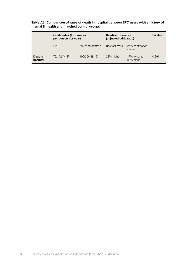### **Table A3: Comparison of rates of death in hospital between EPC users with a history of mental ill health and matched control groups**

|                       | Crude rates (for number<br>per person per year) |                  | <b>Relative difference</b><br>(adjusted odds ratio) | P-value                    |       |
|-----------------------|-------------------------------------------------|------------------|-----------------------------------------------------|----------------------------|-------|
|                       | EPC.                                            | Matched controls | Best estimate                                       | 95% confidence<br>interval |       |
| Deaths in<br>hospital | 76/172(44.2%)                                   | 100/256(39.1%)   | 23% higher                                          | 17% lower to<br>83% higher | 0.291 |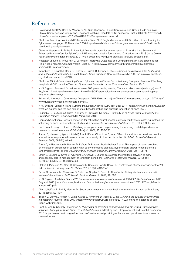# References

- <span id="page-46-0"></span>1. Dowling M, Swift W, Doyle A. *Review of the Year*. Blackpool Clinical Commissioning Group, Fylde and Wyre Clinical Commissioning Group, and Blackpool Teaching Hospitals NHS Foundation Trust; 2016 ([http://www.bfwh.](http://www.bfwh.nhs.uk/wp-content/uploads/2015/07/20160926-Main-presentation-v2.pdf) [nhs.uk/wp-content/uploads/2015/07/20160926-Main-presentation-v2.pdf](http://www.bfwh.nhs.uk/wp-content/uploads/2015/07/20160926-Main-presentation-v2.pdf)).
- <span id="page-46-1"></span>2. Blackpool Teaching Hospitals NHS Foundation Trust. NHS England announces £4.32 million of new funding for Fylde coast [webpage]. 22 December 2016 ([https://www.bfwh.nhs.uk/nhs-england-announces-4-32-million-of](https://www.bfwh.nhs.uk/nhs-england-announces-4-32-million-of-new-funding-for-fylde-coast/)[new-funding-for-fylde-coast/](https://www.bfwh.nhs.uk/nhs-england-announces-4-32-million-of-new-funding-for-fylde-coast/)).
- <span id="page-46-2"></span>3. Clarke G, Vestesson E, Pariza P. Statistical Analysis Protocol for an evaluation of Extensive Care Service and Enhanced Primary Care for Fylde Coast NHS vanguard. Health Foundation; 2018, addendum 2019 ([https://www.](https://www.health.org.uk/sites/default/files/2020-01/fylde_coast_nhs_vanguard_statistical_analysis_protocol.pdf) [health.org.uk/sites/default/files/2020-01/fylde\\_coast\\_nhs\\_vanguard\\_statistical\\_analysis\\_protocol.pdf](https://www.health.org.uk/sites/default/files/2020-01/fylde_coast_nhs_vanguard_statistical_analysis_protocol.pdf)).
- <span id="page-46-3"></span>4. Hostetter M, Klein S, McCarthy D. CareMore: Improving Outcomes and Controlling Health Care Spending for High-Needs Patients. Commonwealth Fund; 2017 [\(http://www.commonwealthfund.org/publications/case](http://www.commonwealthfund.org/publications/case-studies/2017/mar/caremore)[studies/2017/mar/caremore](http://www.commonwealthfund.org/publications/case-studies/2017/mar/caremore)).
- <span id="page-46-4"></span>5. Wennberg D, Siegel M, Darin B, Filipova N, Russell R, Kenney L, et al. *Combined predictive model: final report and technical documentation*. Health Dialog, King's Fund and New York University; 2006 [\(http://www.kingsfund.](http://www.kingsfund.org.uk/document.rm?id=8248) [org.uk/document.rm?id=8248](http://www.kingsfund.org.uk/document.rm?id=8248)).
- <span id="page-46-5"></span>6. Blackpool Clinical Commissioning Group, Fylde and Wyre Clinical Commissioning Group and Blackpool Teaching Hospitals NHS Foundation Trust. *An Operational Evaluation of the Extensive Care Service*. 2016.
- <span id="page-46-6"></span>7. NHS England. Paramedic's brainwave eases A&E pressures by keeping 'frequent callers' away [webpage]. *NHS England*; 2018 [\(https://www.england.nhs.uk/2018/05/paramedics-brainwave-eases-ae-pressures-by-keeping](https://www.england.nhs.uk/2018/05/paramedics-brainwave-eases-ae-pressures-by-keeping-frequent-callers-away/)[frequent-callers-away/](https://www.england.nhs.uk/2018/05/paramedics-brainwave-eases-ae-pressures-by-keeping-frequent-callers-away/)).
- <span id="page-46-7"></span>8. Britton M, Shorrock L. Care Homes [webpage]. *NHS Fylde and Wyre Clinical Commissioning Group*; 2017 ([http://](http://www.fyldeandwyreccg.nhs.uk/care-homes/) [www.fyldeandwyreccg.nhs.uk/care-homes/](http://www.fyldeandwyreccg.nhs.uk/care-homes/)).
- <span id="page-46-8"></span>9. NHS England. Lancashire and Cumbria Innovation Alliance (LCIA) Test Bed; 2017 ([https://www.england.nhs.uk/aac/](https://www.england.nhs.uk/aac/what-we-do/how-can-the-aac-help-me/test-beds/lancashire-and-cumbria-innovation-alliance-lcia/) [what-we-do/how-can-the-aac-help-me/test-beds/lancashire-and-cumbria-innovation-alliance-lcia/](https://www.england.nhs.uk/aac/what-we-do/how-can-the-aac-help-me/test-beds/lancashire-and-cumbria-innovation-alliance-lcia/)).
- <span id="page-46-9"></span>10. Endersby C, Routledge J, Bates D, Ellarby V, Flannigan-Salmon J, Hankin S, et al. *Fylde Coast Vanguard Local Evaluation Report*. Fylde Coast NHS Vanguard; 2018.
- <span id="page-46-10"></span>11. Diamond A, Sekhon J. Genetic matching for estimating causal effects: a general multivariate matching method for achieving balance in observational studies. *The Review of Economics and Statistics*. 2013; 95(3): 932–945.
- <span id="page-46-11"></span>12. Ho D, Imai K, King G, Stuart E. Matching as nonparametric preprocessing for reducing model dependence in parametric causal inference. *Political Analysis*. 2007; 15: 199–236.
- <span id="page-46-12"></span>13. Jordan R, Hawker J, Ayers J, Adab P, Tunnicliffe W, Olowokure B, et al. Effect of social factors on winter hospital admission for respiratory disease: a case-control study of older people in the UK. *British Journal of General Practice*. 2008; 58(551): e1–e9.
- <span id="page-46-13"></span>14. Thom D, Willard-Grace R, Hessler D, DeVore D, Prado C, Bodenheimer T, et al. The impact of health coaching on medication adherence in patients with poorly controlled diabetes, hypertension, and/or hyperlipidemia: a randomised controlled trial. *Journal of the American Board of Family Medicine*. 2015; 28(1): 38–45.
- <span id="page-46-14"></span>15. Smith S, Cousins G, Clyne B, Allwright S, O'Dowd T. Shared care across the interface between primary and specialty care in management of long term conditions. *Cochrane Systematic Review*. 2017; doi: 10.1002/14651858.CD004910.pub3.
- <span id="page-46-15"></span>16. Stokes J, Panagioti M, Alam R, Checkland K, Cheraghi-Sohi S, Bower P. Effectiveness of case management for 'at risk' patients in primary care. *PLoS One*. 2015; 10(7): e0132340.
- <span id="page-46-16"></span>17. Baxter S, Johnson M, Chambers D, Sutton A, Goyder E, Booth A. The effects of integrated care: a systematic review of the evidence. *BMC Health Services Research*. 2018; 18: 350.
- <span id="page-46-17"></span>18. NHS England: Analytical Team. *CCG improvement and assessment framework 2016/17: Technical annex*. NHS England; 2017 (<https://www.england.nhs.uk/> commissioning/wp-content/uploads/sites/12/2017/07/ccgiaf-techannex-1617.pdf).
- <span id="page-46-18"></span>19. Allen J, Balfour R, Bell R, Marmot M. Social determinants of mental health. *International Review of Psychiatry*. 2014; 26(4): 392–407.
- <span id="page-46-19"></span>20. Imison C, Curry N, Holder H, Castle-Clarke S, Nimmons D, Appleby J, et al. *Shifting the balance of care: great expectations*. Nuffield Trust; 2017 ([https://www.nuffieldtrust.org.uk/files/2017-02/shifting-the-balance-of-care](https://www.nuffieldtrust.org.uk/files/2017-02/shifting-the-balance-of-care-report-web-final.pdf)[report-web-final.pdf](https://www.nuffieldtrust.org.uk/files/2017-02/shifting-the-balance-of-care-report-web-final.pdf)).
- <span id="page-46-20"></span>21. Conti S, Gori C, Caunt M, Steventon A. *The impact of providing enhanced support for Sutton Homes of Care residents: findings from the Improvement Analytics Unit*. NHS England & Improvement and Health Foundation; 2018 ([https://www.health.org.uk/publications/the-impact-of-providing-enhanced-support-for-sutton-homes-of](https://www.health.org.uk/publications/the-impact-of-providing-enhanced-support-for-sutton-homes-of-care-residents)[care-residents](https://www.health.org.uk/publications/the-impact-of-providing-enhanced-support-for-sutton-homes-of-care-residents)).